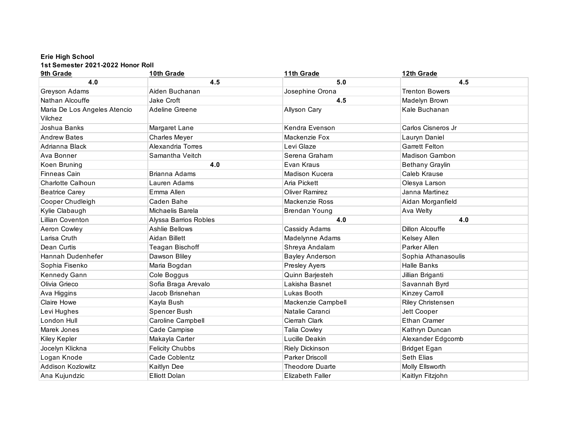# **Erie High School**

| 9th Grade                    | 10th Grade             | 11th Grade              | 12th Grade             |
|------------------------------|------------------------|-------------------------|------------------------|
| 4.0                          | 4.5                    | 5.0                     | 4.5                    |
| Greyson Adams                | Aiden Buchanan         | Josephine Orona         | <b>Trenton Bowers</b>  |
| Nathan Alcouffe              | Jake Croft             | 4.5                     | Madelyn Brown          |
| Maria De Los Angeles Atencio | Adeline Greene         | Allyson Cary            | Kale Buchanan          |
| Vilchez                      |                        |                         |                        |
| Joshua Banks                 | Margaret Lane          | Kendra Evenson          | Carlos Cisneros Jr     |
| <b>Andrew Bates</b>          | <b>Charles Meyer</b>   | Mackenzie Fox           | Lauryn Daniel          |
| Adrianna Black               | Alexandria Torres      | Levi Glaze              | <b>Garrett Felton</b>  |
| Ava Bonner                   | Samantha Veitch        | Serena Graham           | Madison Gambon         |
| Koen Bruning                 | 4.0                    | Evan Kraus              | <b>Bethany Graylin</b> |
| <b>Finneas Cain</b>          | Brianna Adams          | Madison Kucera          | Caleb Krause           |
| Charlotte Calhoun            | Lauren Adams           | Aria Pickett            | Olesya Larson          |
| <b>Beatrice Carey</b>        | Emma Allen             | <b>Oliver Ramirez</b>   | Janna Martinez         |
| Cooper Chudleigh             | Caden Bahe             | Mackenzie Ross          | Aidan Morganfield      |
| Kylie Clabaugh               | Michaelis Barela       | <b>Brendan Young</b>    | Ava Welty              |
| Lillian Coventon             | Alyssa Barrios Robles  | 4.0                     | 4.0                    |
| Aeron Cowley                 | <b>Ashlie Bellows</b>  | Cassidy Adams           | <b>Dillon Alcouffe</b> |
| Larisa Cruth                 | Aidan Billett          | Madelynne Adams         | Kelsey Allen           |
| Dean Curtis                  | Teagan Bischoff        | Shreya Andalam          | Parker Allen           |
| Hannah Dudenhefer            | Dawson Bliley          | <b>Bayley Anderson</b>  | Sophia Athanasoulis    |
| Sophia Fisenko               | Maria Bogdan           | Presley Ayers           | <b>Halle Banks</b>     |
| Kennedy Gann                 | Cole Boggus            | Quinn Barjesteh         | Jillian Briganti       |
| Olivia Grieco                | Sofia Braga Arevalo    | Lakisha Basnet          | Savannah Byrd          |
| Ava Higgins                  | Jacob Brisnehan        | Lukas Booth             | Kinzey Carroll         |
| Claire Howe                  | Kayla Bush             | Mackenzie Campbell      | Riley Christensen      |
| Levi Hughes                  | Spencer Bush           | Natalie Caranci         | Jett Cooper            |
| London Hull                  | Caroline Campbell      | Cierrah Clark           | Ethan Cramer           |
| Marek Jones                  | Cade Campise           | Talia Cowley            | Kathryn Duncan         |
| Kiley Kepler                 | Makayla Carter         | Lucille Deakin          | Alexander Edgcomb      |
| Jocelyn Klickna              | <b>Felicity Chubbs</b> | Riely Dickinson         | <b>Bridget Egan</b>    |
| Logan Knode                  | Cade Coblentz          | Parker Driscoll         | Seth Elias             |
| Addison Kozlowitz            | Kaitlyn Dee            | <b>Theodore Duarte</b>  | Molly Ellsworth        |
| Ana Kujundzic                | <b>Elliott Dolan</b>   | <b>Elizabeth Faller</b> | Kaitlyn Fitzjohn       |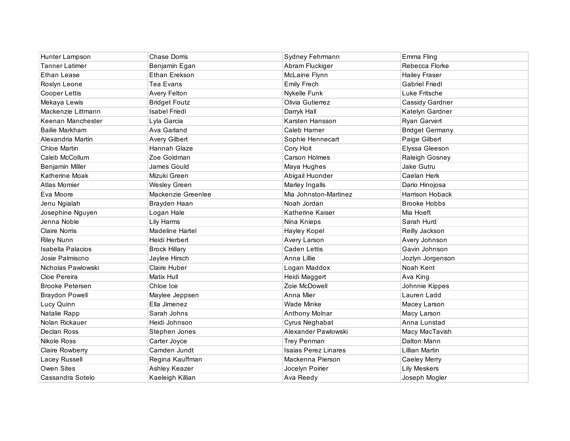| Hunter Lampson         | <b>Chase Dorris</b>    | Sydney Fehrmann             | Emma Fling             |
|------------------------|------------------------|-----------------------------|------------------------|
| <b>Tanner Latimer</b>  | Benjamin Egan          | Abram Fluckiger             | Rebecca Florke         |
| <b>Ethan Lease</b>     | Ethan Erekson          | McLaine Flynn               | <b>Hailey Fraser</b>   |
| Roslyn Leone           | <b>Tea Evans</b>       | <b>Emily Frech</b>          | Gabriel Friedl         |
| <b>Cooper Lettis</b>   | Avery Felton           | Nykelle Funk                | Luke Fritsche          |
| Mekaya Lewis           | <b>Bridget Foutz</b>   | Olivia Gutierrez            | Cassidy Gardner        |
| Mackenzie Littmann     | <b>Isabel Friedl</b>   | Darryk Hall                 | Katelyn Gardner        |
| Keenan Manchester      | Lyla Garcia            | Karsten Hansson             | Ryan Garvert           |
| <b>Bailie Markham</b>  | Ava Garland            | Caleb Harner                | <b>Bridget Germany</b> |
| Alexandria Martin      | Avery Gilbert          | Sophie Hennecart            | Paige Gilbert          |
| <b>Chloe Martin</b>    | Hannah Glaze           | Cory Hoit                   | Elyssa Gleeson         |
| Caleb McCollum         | Zoe Goldman            | <b>Carson Holmes</b>        | Raleigh Gosney         |
| Benjamin Miller        | James Gould            | Maya Hughes                 | Jake Gutru             |
| Katherine Moak         | Mizuki Green           | Abigail Huonder             | Caelan Herk            |
| <b>Atlas Momier</b>    | <b>Wesley Green</b>    | Marley Ingalls              | Dario Hinojosa         |
| Eva Moore              | Mackenzie Greenlee     | Mia Johnston-Martinez       | <b>Harrison Hoback</b> |
| Jenu Ngialah           | Brayden Haan           | Noah Jordan                 | <b>Brooke Hobbs</b>    |
| Josephine Nguyen       | Logan Hale             | Katherine Kaiser            | Mia Hoeft              |
| Jenna Noble            | Lily Harms             | Nina Knieps                 | Sarah Hurd             |
| <b>Claire Norris</b>   | <b>Madeline Hartel</b> | Hayley Kopel                | Reilly Jackson         |
| <b>Riley Nunn</b>      | Heidi Herbert          | Avery Larson                | Avery Johnson          |
| Isabella Palacios      | <b>Brock Hillary</b>   | Caden Lettis                | Gavin Johnson          |
| Josie Palmiscno        | Jaylee Hirsch          | Anna Lillie                 | Jozlyn Jorgenson       |
| Nicholas Pawlowski     | Claire Huber           | Logan Maddox                | Noah Kent              |
| Cloe Pereira           | <b>Matix Hull</b>      | Heidi Maggert               | Ava King               |
| <b>Brooke Petersen</b> | Chloe Ice              | Zoie McDowell               | Johnnie Kippes         |
| <b>Braydon Powell</b>  | Maylee Jeppsen         | Anna Mier                   | Lauren Ladd            |
| Lucy Quinn             | Ella Jimenez           | <b>Wade Minke</b>           | Macey Larson           |
| Natalie Rapp           | Sarah Johns            | Anthony Molnar              | Macy Larson            |
| Nolan Rickauer         | Heidi Johnson          | Cyrus Neghabat              | Anna Lunstad           |
| Declan Ross            | Stephen Jones          | Alexander Pawlowski         | Macy MacTavish         |
| <b>Nikole Ross</b>     | Carter Joyce           | Trey Penman                 | Dalton Mann            |
| Claire Rowberry        | Camden Jundt           | <b>Isaias Perez Linares</b> | Lillian Martin         |
| Lacey Russell          | Regina Kauffman        | Mackenna Pierson            | Caeley Merry           |
| Owen Sites             | Ashley Keazer          | Jocelyn Poirier             | <b>Lily Meskers</b>    |
| Cassandra Sotelo       | Kaeleigh Killian       | Ava Reedy                   | Joseph Mogler          |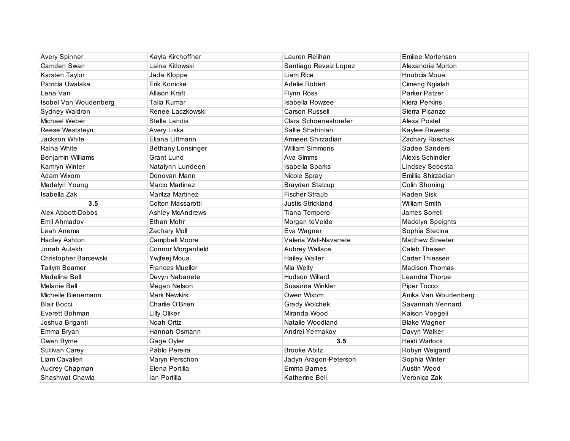| Avery Spinner         | Kayla Kirchoffner        | Lauren Relihan           | Emilee Mortensen        |
|-----------------------|--------------------------|--------------------------|-------------------------|
| Camden Swan           | Laina Kitlowski          | Santiago Reveiz Lopez    | Alexandria Morton       |
| Karsten Taylor        | Jada Kloppe              | Liam Rice                | Hnubcis Moua            |
| Patricia Uwalaka      | Erik Konicke             | Adelie Robert            | Cimeng Ngialah          |
| Lena Van              | <b>Allison Kraft</b>     | Flynn Ross               | Parker Patzer           |
| Isobel Van Woudenberg | Talia Kumar              | Isabella Rowzee          | Kiera Perkins           |
| Sydney Waldron        | Renee Laczkowski         | Carson Russell           | Sierra Picanzo          |
| Michael Weber         | Stella Landis            | Clara Schoeneshoefer     | Alexa Postel            |
| Reese Weststeyn       | Avery Liska              | Sallie Shahinian         | Kaylee Rewerts          |
| Jackson White         | Eliana Littmann          | Armeen Shirzadian        | Zachary Ruschak         |
| Raina White           | <b>Bethany Lonsinger</b> | <b>William Simmons</b>   | Sadee Sanders           |
| Benjamin Williams     | Grant Lund               | Ava Simms                | Alexis Schindler        |
| Kamryn Winter         | Natalynn Lundeen         | Isabella Sparks          | Lindsey Sebesta         |
| Adam Wixom            | Donovan Mann             | Nicole Spray             | Emillia Shirzadian      |
| Madelyn Young         | Marco Martinez           | <b>Brayden Stalcup</b>   | Colin Shoning           |
| Isabella Zak          | <b>Maritza Martinez</b>  | <b>Fischer Straub</b>    | Kaden Sisk              |
| 3.5                   | Colton Massarotti        | <b>Justis Strickland</b> | William Smith           |
| Alex Abbott-Dobbs     | <b>Ashley McAndrews</b>  | Tiana Tempero            | James Sorrell           |
| Emil Ahmadov          | Ethan Mohr               | Morgan teVelde           | <b>Madelyn Speights</b> |
| Leah Anema            | Zachary Moll             | Eva Wagner               | Sophia Stecina          |
| <b>Hadley Ashton</b>  | Campbell Moore           | Valeria Wall-Navarrete   | <b>Matthew Streeter</b> |
| Jonah Aulakh          | Connor Morganfield       | Aubrey Wallace           | Caleb Theisen           |
| Christopher Barcewski | Ywjfeej Moua             | <b>Hailey Walter</b>     | <b>Carter Thiessen</b>  |
| Taitym Beamer         | <b>Frances Mueller</b>   | Mia Welty                | <b>Madison Thomas</b>   |
| Madeline Bell         | Devyn Nabarrete          | Hudson Willard           | Leandra Thorpe          |
| Melanie Bell          | Megan Nelson             | Susanna Winkler          | Piper Tocco             |
| Michelle Bienemann    | <b>Mark Newkirk</b>      | Owen Wixom               | Anika Van Woudenberg    |
| <b>Blair Bocci</b>    | Charlie O'Brien          | Grady Wolchek            | Savannah Vennard        |
| Everett Bohman        | <b>Lilly Oliker</b>      | Miranda Wood             | Kaison Voegeli          |
| Joshua Briganti       | Noah Ortiz               | Natalie Woodland         | <b>Blake Wagner</b>     |
| Emma Bryan            | Hannah Osmann            | Andrei Yermakov          | Davyn Walker            |
| Owen Byrne            | Gage Oyler               | 3.5                      | Heidi Warlock           |
| Sullivan Carey        | Pablo Pereira            | <b>Brooke Abitz</b>      | Robyn Weigand           |
| Liam Cavalieri        | Maryn Perschon           | Jadyn Aragon-Peterson    | Sophia Winter           |
| Audrey Chapman        | Elena Portilla           | Emma Barnes              | Austin Wood             |
| Shashwat Chawla       | Ian Portilla             | Katherine Bell           | Veronica Zak            |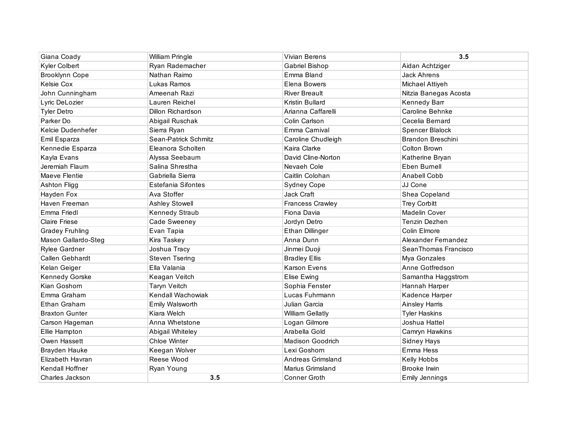| Giana Coady            | William Pringle       | Vivian Berens           | 3.5                   |
|------------------------|-----------------------|-------------------------|-----------------------|
| Kyler Colbert          | Ryan Rademacher       | Gabriel Bishop          | Aidan Achtziger       |
| <b>Brooklynn Cope</b>  | Nathan Raimo          | Emma Bland              | <b>Jack Ahrens</b>    |
| <b>Kelsie Cox</b>      | Lukas Ramos           | <b>Elena Bowers</b>     | Michael Attiyeh       |
| John Cunningham        | Ameenah Razi          | <b>River Breault</b>    | Nitzia Banegas Acosta |
| Lyric DeLozier         | Lauren Reichel        | Kristin Bullard         | <b>Kennedy Barr</b>   |
| <b>Tyler Detro</b>     | Dillon Richardson     | Arianna Caffarelli      | Caroline Behnke       |
| Parker Do              | Abigail Ruschak       | Colin Carlson           | Cecelia Bernard       |
| Kelcie Dudenhefer      | Sierra Ryan           | Emma Carnival           | Spencer Blalock       |
| Emil Esparza           | Sean-Patrick Schmitz  | Caroline Chudleigh      | Brandon Breschini     |
| Kennedie Esparza       | Eleanora Scholten     | Kaira Clarke            | Colton Brown          |
| Kayla Evans            | Alyssa Seebaum        | David Cline-Norton      | Katherine Bryan       |
| Jeremiah Flaum         | Salina Shrestha       | Nevaeh Cole             | Eben Burnell          |
| Maeve Flentie          | Gabriella Sierra      | Caitlin Colohan         | Anabell Cobb          |
| Ashton Fligg           | Estefania Sifontes    | Sydney Cope             | JJ Cone               |
| Hayden Fox             | Ava Stoffer           | Jack Craft              | Shea Copeland         |
| Haven Freeman          | <b>Ashley Stowell</b> | <b>Francess Crawley</b> | <b>Trey Corbitt</b>   |
| Emma Friedl            | Kennedy Straub        | Fiona Davia             | Madelin Cover         |
| <b>Claire Friese</b>   | Cade Sweeney          | Jordyn Detro            | Tenzin Dezhen         |
| <b>Gradey Fruhling</b> | Evan Tapia            | Ethan Dillinger         | Colin Elmore          |
| Mason Gallardo-Steg    | Kira Taskey           | Anna Dunn               | Alexander Fernandez   |
| <b>Rylee Gardner</b>   | Joshua Tracy          | Jinmei Duoji            | SeanThomas Francisco  |
| Callen Gebhardt        | <b>Steven Tsering</b> | <b>Bradley Ellis</b>    | Mya Gonzales          |
| Kelan Geiger           | Ella Valania          | <b>Karson Evens</b>     | Anne Gotfredson       |
| <b>Kennedy Gorske</b>  | Keagan Veitch         | Elise Ewing             | Samantha Haggstrom    |
| Kian Goshorn           | <b>Taryn Veitch</b>   | Sophia Fenster          | Hannah Harper         |
| Emma Graham            | Kendall Wachowiak     | Lucas Fuhrmann          | Kadence Harper        |
| Ethan Graham           | Emily Walsworth       | Julian Garcia           | <b>Ainsley Harris</b> |
| <b>Braxton Gunter</b>  | Kiara Welch           | <b>William Gellatly</b> | <b>Tyler Haskins</b>  |
| Carson Hageman         | Anna Whetstone        | Logan Gilmore           | Joshua Hattel         |
| Ellie Hampton          | Abigail Whiteley      | Arabella Gold           | Camryn Hawkins        |
| Owen Hassett           | Chloe Winter          | Madison Goodrich        | Sidney Hays           |
| <b>Brayden Hauke</b>   | Keegan Wolver         | Lexi Goshorn            | Emma Hess             |
| Elizabeth Havran       | Reese Wood            | Andreas Grimsland       | Kelly Hobbs           |
| Kendall Hoffner        | Ryan Young            | Marius Grimsland        | Brooke Irwin          |
| Charles Jackson        | 3.5                   | <b>Conner Groth</b>     | Emily Jennings        |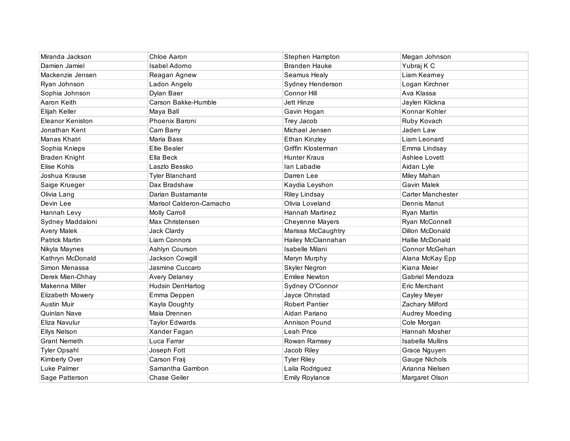| Miranda Jackson         | Chloe Aaron              | Stephen Hampton        | Megan Johnson            |
|-------------------------|--------------------------|------------------------|--------------------------|
| Damien Jamiel           | <b>Isabel Adorno</b>     | <b>Branden Hauke</b>   | Yubraj K C               |
| Mackenzie Jensen        | Reagan Agnew             | Seamus Healy           | Liam Kearney             |
| Ryan Johnson            | Ladon Angelo             | Sydney Henderson       | Logan Kirchner           |
| Sophia Johnson          | Dylan Baer               | Connor Hill            | Ava Klassa               |
| Aaron Keith             | Carson Bakke-Humble      | Jett Hinze             | Jaylen Klickna           |
| Elijah Keller           | Maya Ball                | Gavin Hogan            | Konnar Kohler            |
| <b>Eleanor Keniston</b> | Phoenix Baroni           | Trey Jacob             | Ruby Kovach              |
| Jonathan Kent           | Cam Barry                | Michael Jensen         | Jaden Law                |
| Manas Khatri            | Maria Bass               | Ethan Kinzley          | Liam Leonard             |
| Sophia Knieps           | <b>Ellie Bealer</b>      | Griffin Klosterman     | Emma Lindsay             |
| <b>Braden Knight</b>    | Ella Beck                | <b>Hunter Kraus</b>    | Ashlee Lovett            |
| Elise Kohls             | Laszlo Bessko            | lan Labadie            | Aidan Lyle               |
| Joshua Krause           | <b>Tyler Blanchard</b>   | Darren Lee             | Miley Mahan              |
| Saige Krueger           | Dax Bradshaw             | Kaydia Leyshon         | Gavin Malek              |
| Olivia Lang             | Darian Bustamante        | <b>Riley Lindsay</b>   | <b>Carter Manchester</b> |
| Devin Lee               | Marisol Calderon-Camacho | Olivia Loveland        | Dennis Manut             |
| Hannah Levy             | <b>Molly Carroll</b>     | Hannah Martinez        | Ryan Martin              |
| Sydney Maddaloni        | Max Christensen          | <b>Cheyenne Mayers</b> | Ryan McConnell           |
| <b>Avery Malek</b>      | Jack Clardy              | Marissa McCaughtry     | Dillon McDonald          |
| <b>Patrick Martin</b>   | Liam Connors             | Hailey McClannahan     | Hallie McDonald          |
| Nikyla Maynes           | Ashlyn Courson           | Isabelle Milani        | Connor McGehan           |
| Kathryn McDonald        | Jackson Cowgill          | Maryn Murphy           | Alana McKay Epp          |
| Simon Menassa           | Jasmine Cuccaro          | Skyler Negron          | Kiana Meier              |
| Derek Mien-Chhay        | <b>Avery Delaney</b>     | <b>Emilee Newton</b>   | Gabriel Mendoza          |
| Makenna Miller          | Hudsin DenHartog         | Sydney O'Connor        | Eric Merchant            |
| Elizabeth Mowery        | Emma Deppen              | Jayce Ohnstad          | Cayley Meyer             |
| <b>Austin Muir</b>      | Kayla Doughty            | <b>Robert Pantier</b>  | Zachary Milford          |
| Quinlan Nave            | Maia Drennen             | Aidan Pariano          | Audrey Moeding           |
| Eliza Navulur           | <b>Taylor Edwards</b>    | Annison Pound          | Cole Morgan              |
| <b>Ellys Nelson</b>     | Xander Fagan             | Leah Price             | Hannah Mosher            |
| <b>Grant Nemeth</b>     | Luca Farrar              | Rowan Ramsey           | <b>Isabella Mullins</b>  |
| <b>Tyler Opsahl</b>     | Joseph Fott              | Jacob Riley            | Grace Nguyen             |
| Kimberly Over           | Carson Fraij             | <b>Tyler Riley</b>     | Gauge Nichols            |
| Luke Palmer             | Samantha Gambon          | Laila Rodriguez        | Arianna Nielsen          |
| Sage Patterson          | Chase Geiler             | <b>Emily Roylance</b>  | Margaret Olson           |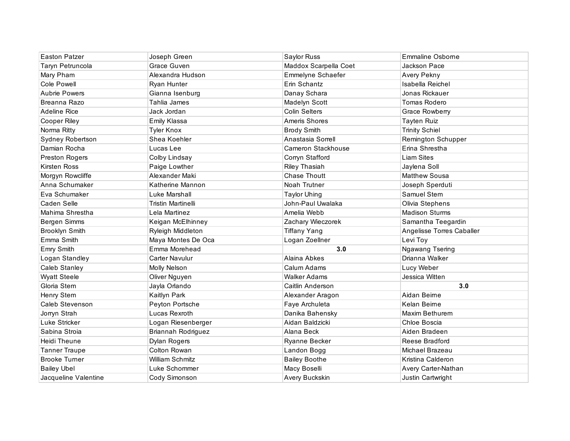| <b>Easton Patzer</b>  | Joseph Green              | Saylor Russ           | <b>Emmaline Osborne</b>   |
|-----------------------|---------------------------|-----------------------|---------------------------|
| Taryn Petruncola      | Grace Guven               | Maddox Scarpella Coet | Jackson Pace              |
| Mary Pham             | Alexandra Hudson          | Emmelyne Schaefer     | Avery Pekny               |
| <b>Cole Powell</b>    | Ryan Hunter               | Erin Schantz          | Isabella Reichel          |
| <b>Aubrie Powers</b>  | Gianna Isenburg           | Danay Schara          | Jonas Rickauer            |
| Breanna Razo          | Tahlia James              | Madelyn Scott         | <b>Tomas Rodero</b>       |
| <b>Adeline Rice</b>   | Jack Jordan               | <b>Colin Selters</b>  | <b>Grace Rowberry</b>     |
| Cooper Riley          | Emily Klassa              | Ameris Shores         | <b>Tayten Ruiz</b>        |
| Norma Ritty           | <b>Tyler Knox</b>         | <b>Brody Smith</b>    | <b>Trinity Schiel</b>     |
| Sydney Robertson      | Shea Koehler              | Anastasia Sorrell     | Remington Schupper        |
| Damian Rocha          | Lucas Lee                 | Cameron Stackhouse    | Erina Shrestha            |
| Preston Rogers        | Colby Lindsay             | Corryn Stafford       | <b>Liam Sites</b>         |
| Kirsten Ross          | Paige Lowther             | <b>Riley Thasiah</b>  | Jaylena Soll              |
| Morgyn Rowcliffe      | Alexander Maki            | <b>Chase Thoutt</b>   | <b>Matthew Sousa</b>      |
| Anna Schumaker        | Katherine Mannon          | Noah Trutner          | Joseph Sperduti           |
| Eva Schumaker         | Luke Marshall             | <b>Taylor Uhing</b>   | Samuel Stem               |
| Caden Selle           | <b>Tristin Martinelli</b> | John-Paul Uwalaka     | Olivia Stephens           |
| Mahima Shrestha       | Lela Martinez             | Amelia Webb           | <b>Madison Sturms</b>     |
| Bergen Simms          | Keigan McElhinney         | Zachary Wieczorek     | Samantha Teegardin        |
| <b>Brooklyn Smith</b> | Ryleigh Middleton         | <b>Tiffany Yang</b>   | Angelisse Torres Caballer |
| Emma Smith            | Maya Montes De Oca        | Logan Zoellner        | Levi Toy                  |
| Emry Smith            | Emma Morehead             | 3.0                   | Ngawang Tsering           |
| Logan Standley        | Carter Navulur            | Alaina Abkes          | Drianna Walker            |
| Caleb Stanley         | Molly Nelson              | Calum Adams           | Lucy Weber                |
| <b>Wyatt Steele</b>   | Oliver Nguyen             | <b>Walker Adams</b>   | Jessica Witten            |
| Gloria Stem           | Jayla Orlando             | Caitlin Anderson      | 3.0                       |
| Henry Stem            | Kaitlyn Park              | Alexander Aragon      | Aidan Beirne              |
| Caleb Stevenson       | Peyton Portsche           | Faye Archuleta        | Kelan Beirne              |
| Jorryn Strah          | Lucas Rexroth             | Danika Bahensky       | Maxim Bethurem            |
| Luke Stricker         | Logan Riesenberger        | Aidan Baldzicki       | Chloe Boscia              |
| Sabina Stroia         | Briannah Rodriguez        | Alana Beck            | Aiden Bradeen             |
| <b>Heidi Theune</b>   | Dylan Rogers              | Ryanne Becker         | Reese Bradford            |
| <b>Tanner Traupe</b>  | Colton Rowan              | Landon Bogg           | Michael Brazeau           |
| <b>Brooke Turner</b>  | William Schmitz           | <b>Bailey Boothe</b>  | Kristina Calderon         |
| <b>Bailey Ubel</b>    | Luke Schommer             | Macy Boselli          | Avery Carter-Nathan       |
| Jacqueline Valentine  | Cody Simonson             | Avery Buckskin        | Justin Cartwright         |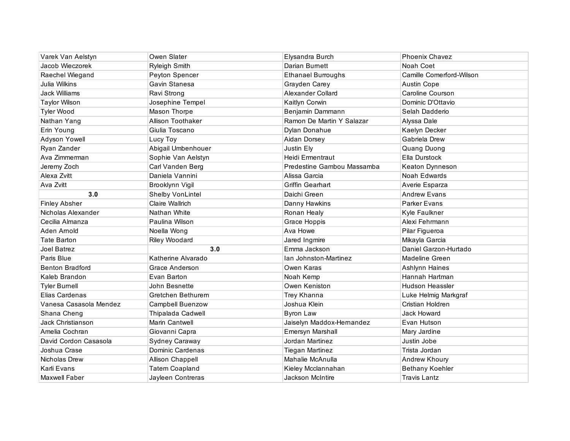| Varek Van Aelstyn      | Owen Slater             | Elysandra Burch            | <b>Phoenix Chavez</b>    |
|------------------------|-------------------------|----------------------------|--------------------------|
| Jacob Wieczorek        | Ryleigh Smith           | Darian Burnett             | Noah Coet                |
| Raechel Wiegand        | Peyton Spencer          | <b>Ethanael Burroughs</b>  | Camille Comerford-Wilson |
| Julia Wilkins          | Gavin Stanesa           | Grayden Carey              | Austin Cope              |
| <b>Jack Williams</b>   | Ravi Strong             | Alexander Collard          | Caroline Courson         |
| <b>Taylor Wilson</b>   | Josephine Tempel        | Kaitlyn Corwin             | Dominic D'Ottavio        |
| <b>Tyler Wood</b>      | Mason Thorpe            | Benjamin Dammann           | Selah Dadderio           |
| Nathan Yang            | Allison Toothaker       | Ramon De Martin Y Salazar  | Alyssa Dale              |
| Erin Young             | Giulia Toscano          | Dylan Donahue              | Kaelyn Decker            |
| Adyson Yowell          | Lucy Toy                | Aidan Dorsey               | Gabriela Drew            |
| Ryan Zander            | Abigail Umbenhouer      | Justin Ely                 | Quang Duong              |
| Ava Zimmerman          | Sophie Van Aelstyn      | Heidi Ermentraut           | Ella Durstock            |
| Jeremy Zoch            | Carl Vanden Berg        | Predestine Gambou Massamba | Keaton Dynneson          |
| Alexa Zvitt            | Daniela Vannini         | Alissa Garcia              | Noah Edwards             |
| Ava Zvitt              | Brooklynn Vigil         | <b>Griffin Gearhart</b>    | Averie Esparza           |
| 3.0                    | Shelby VonLintel        | Daichi Green               | <b>Andrew Evans</b>      |
| <b>Finley Absher</b>   | Claire Wallrich         | Danny Hawkins              | Parker Evans             |
| Nicholas Alexander     | Nathan White            | Ronan Healy                | Kyle Faulkner            |
| Cecilia Almanza        | Paulina Wilson          | Grace Hoppis               | Alexi Fehrmann           |
| Aden Arnold            | Noella Wong             | Ava Howe                   | Pilar Figueroa           |
| <b>Tate Barton</b>     | Riley Woodard           | Jared Ingmire              | Mikayla Garcia           |
| Joel Batrez            | 3.0                     | Emma Jackson               | Daniel Garzon-Hurtado    |
| Paris Blue             | Katherine Alvarado      | Ian Johnston-Martinez      | Madeline Green           |
| <b>Benton Bradford</b> | Grace Anderson          | Owen Karas                 | Ashlynn Haines           |
| Kaleb Brandon          | Evan Barton             | Noah Kemp                  | Hannah Hartman           |
| <b>Tyler Bumell</b>    | John Besnette           | Owen Keniston              | <b>Hudson Heassler</b>   |
| Elias Cardenas         | Gretchen Bethurem       | Trey Khanna                | Luke Helmig Markgraf     |
| Vanesa Casasola Mendez | <b>Campbell Buenzow</b> | Joshua Klein               | Cristian Holdren         |
| Shana Cheng            | Thipalada Cadwell       | <b>Byron Law</b>           | Jack Howard              |
| Jack Christianson      | Marin Cantwell          | Jaiselyn Maddox-Hernandez  | Evan Hutson              |
| Amelia Cochran         | Giovanni Capra          | Emersyn Marshall           | Mary Jardine             |
| David Cordon Casasola  | Sydney Caraway          | Jordan Martinez            | Justin Jobe              |
| Joshua Crase           | Dominic Cardenas        | <b>Tiegan Martinez</b>     | Trista Jordan            |
| Nicholas Drew          | Allison Chappell        | Mahalie McAnulla           | Andrew Khoury            |
| Karli Evans            | <b>Tatem Coapland</b>   | Kieley Mcclannahan         | Bethany Koehler          |
| Maxwell Faber          | Jayleen Contreras       | <b>Jackson McIntire</b>    | <b>Travis Lantz</b>      |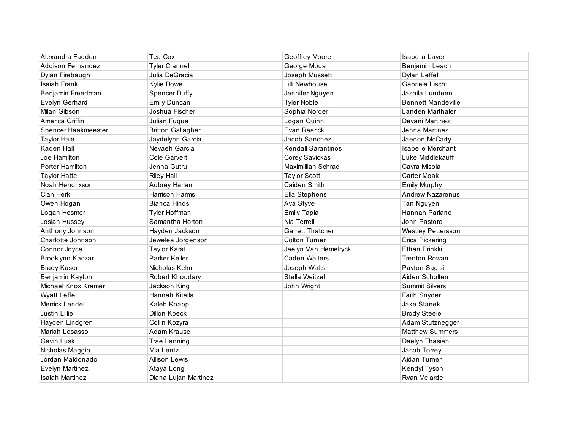| Alexandra Fadden         | Tea Cox                  | Geoffrey Moore            | Isabella Layer            |
|--------------------------|--------------------------|---------------------------|---------------------------|
| <b>Addison Fernandez</b> | <b>Tyler Crannell</b>    | George Moua               | Benjamin Leach            |
| Dylan Firebaugh          | Julia DeGracia           | Joseph Mussett            | Dylan Leffel              |
| <b>Isaiah Frank</b>      | Kylie Dowe               | Lilli Newhouse            | Gabriela Lischt           |
| Benjamin Freedman        | <b>Spencer Duffy</b>     | Jennifer Nguyen           | Jasaila Lundeen           |
| Evelyn Gerhard           | <b>Emily Duncan</b>      | <b>Tyler Noble</b>        | <b>Bennett Mandeville</b> |
| Milan Gibson             | Joshua Fischer           | Sophia Norder             | Landen Marthaler          |
| America Griffin          | Julian Fuqua             | Logan Quinn               | Devani Martinez           |
| Spencer Haakmeester      | <b>Britton Gallagher</b> | Evan Rearick              | Jenna Martinez            |
| <b>Taylor Hale</b>       | Jaydelynn Garcia         | Jacob Sanchez             | Jaedon McCarty            |
| Kaden Hall               | Nevaeh Garcia            | <b>Kendall Sarantinos</b> | <b>Isabelle Merchant</b>  |
| Joe Hamilton             | <b>Cole Garvert</b>      | Corey Savickas            | Luke Middlekauff          |
| Porter Hamilton          | Jenna Gutru              | Maximillian Schrad        | Cayra Misola              |
| <b>Taylor Hattel</b>     | <b>Riley Hall</b>        | <b>Taylor Scott</b>       | <b>Carter Moak</b>        |
| Noah Hendrixson          | Aubrey Harlan            | Caiden Smith              | <b>Emily Murphy</b>       |
| Cian Herk                | Harrison Harms           | Ella Stephens             | <b>Andrew Nazarenus</b>   |
| Owen Hogan               | <b>Bianca Hinds</b>      | Ava Styve                 | Tan Nguyen                |
| Logan Hosmer             | <b>Tyler Hoffman</b>     | <b>Emily Tapia</b>        | Hannah Pariano            |
| Josiah Hussey            | Samantha Horton          | Nia Terrell               | John Pastore              |
| Anthony Johnson          | Hayden Jackson           | <b>Garrett Thatcher</b>   | Westley Pettersson        |
| Charlotte Johnson        | Jewelea Jorgenson        | <b>Colton Turner</b>      | Erica Pickering           |
| Connor Joyce             | <b>Taylor Karst</b>      | Jaelyn Van Hemelryck      | Ethan Prinkki             |
| Brooklynn Kaczar         | Parker Keller            | <b>Caden Walters</b>      | <b>Trenton Rowan</b>      |
| <b>Brady Kaser</b>       | Nicholas Kelm            | Joseph Watts              | Payton Sagisi             |
| Benjamin Kayton          | Robert Khoudary          | Stella Weitzel            | Aiden Scholten            |
| Michael Knox Kramer      | Jackson King             | John Wright               | <b>Summit Silvers</b>     |
| <b>Wyatt Leffel</b>      | Hannah Kitella           |                           | Faith Snyder              |
| Merrick Lendel           | Kaleb Knapp              |                           | Jake Stanek               |
| Justin Lillie            | <b>Dillon Koeck</b>      |                           | <b>Brody Steele</b>       |
| Hayden Lindgren          | Collin Kozyra            |                           | Adam Stutznegger          |
| Mariah Losasso           | Adam Krause              |                           | <b>Matthew Summers</b>    |
| Gavin Lusk               | Trae Lanning             |                           | Daelyn Thasiah            |
| Nicholas Maggio          | Mia Lentz                |                           | Jacob Torrey              |
| Jordan Maldonado         | <b>Allison Lewis</b>     |                           | Aidan Turner              |
| Evelyn Martinez          | Ataya Long               |                           | Kendyl Tyson              |
| <b>Isaiah Martinez</b>   | Diana Lujan Martinez     |                           | Ryan Velarde              |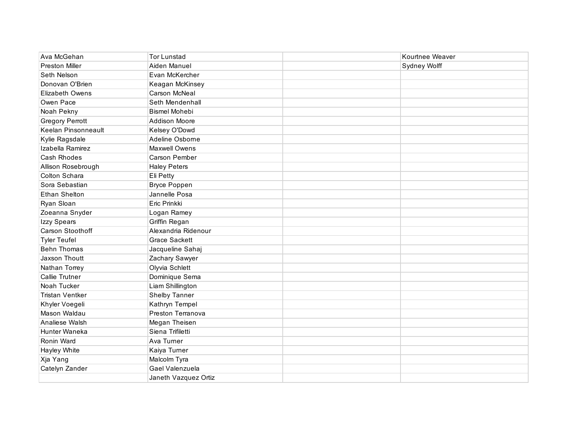| Ava McGehan            | <b>Tor Lunstad</b>   | Kourtnee Weaver |
|------------------------|----------------------|-----------------|
| <b>Preston Miller</b>  | Aiden Manuel         | Sydney Wolff    |
| Seth Nelson            | Evan McKercher       |                 |
| Donovan O'Brien        | Keagan McKinsey      |                 |
| <b>Elizabeth Owens</b> | <b>Carson McNeal</b> |                 |
| Owen Pace              | Seth Mendenhall      |                 |
| Noah Pekny             | <b>Bismel Mohebi</b> |                 |
| <b>Gregory Perrott</b> | Addison Moore        |                 |
| Keelan Pinsonneault    | Kelsey O'Dowd        |                 |
| Kylie Ragsdale         | Adeline Osborne      |                 |
| Izabella Ramirez       | Maxwell Owens        |                 |
| Cash Rhodes            | <b>Carson Pember</b> |                 |
| Allison Rosebrough     | <b>Haley Peters</b>  |                 |
| Colton Schara          | Eli Petty            |                 |
| Sora Sebastian         | <b>Bryce Poppen</b>  |                 |
| <b>Ethan Shelton</b>   | Jannelle Posa        |                 |
| Ryan Sloan             | Eric Prinkki         |                 |
| Zoeanna Snyder         | Logan Ramey          |                 |
| Izzy Spears            | Griffin Regan        |                 |
| Carson Stoothoff       | Alexandria Ridenour  |                 |
| <b>Tyler Teufel</b>    | <b>Grace Sackett</b> |                 |
| <b>Behn Thomas</b>     | Jacqueline Sahaj     |                 |
| Jaxson Thoutt          | Zachary Sawyer       |                 |
| Nathan Torrey          | Olyvia Schlett       |                 |
| Callie Trutner         | Dominique Sema       |                 |
| Noah Tucker            | Liam Shillington     |                 |
| <b>Tristan Ventker</b> | Shelby Tanner        |                 |
| Khyler Voegeli         | Kathryn Tempel       |                 |
| Mason Waldau           | Preston Terranova    |                 |
| Analiese Walsh         | Megan Theisen        |                 |
| Hunter Waneka          | Siena Trifiletti     |                 |
| Ronin Ward             | Ava Turner           |                 |
| Hayley White           | Kaiya Turner         |                 |
| Xja Yang               | Malcolm Tyra         |                 |
| Catelyn Zander         | Gael Valenzuela      |                 |
|                        | Janeth Vazquez Ortiz |                 |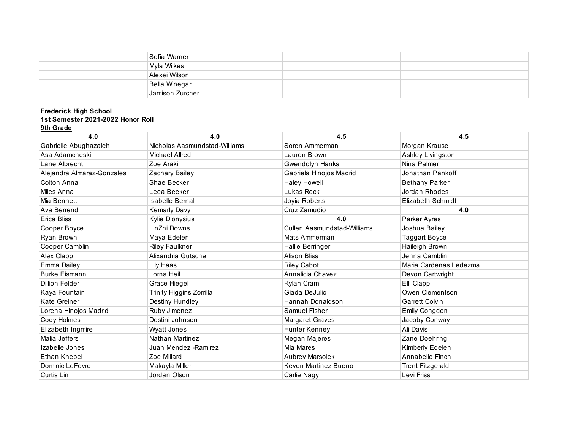| Sofia Warner    |  |
|-----------------|--|
| Myla Wilkes     |  |
| Alexei Wilson   |  |
| Bella Winegar   |  |
| Jamison Zurcher |  |

#### **Frederick High School 1st Semester 2021-2022 Honor Roll 9th Grade**

| 4.0                        | 4.0                           | 4.5                         | 4.5                     |
|----------------------------|-------------------------------|-----------------------------|-------------------------|
| Gabrielle Abughazaleh      | Nicholas Aasmundstad-Williams | Soren Ammerman              | Morgan Krause           |
| Asa Adamcheski             | Michael Allred                | Lauren Brown                | Ashley Livingston       |
| Lane Albrecht              | Zoe Araki                     | Gwendolyn Hanks             | Nina Palmer             |
| Alejandra Almaraz-Gonzales | Zachary Bailey                | Gabriela Hinojos Madrid     | Jonathan Pankoff        |
| Colton Anna                | Shae Becker                   | <b>Haley Howell</b>         | <b>Bethany Parker</b>   |
| Miles Anna                 | Leea Beeker                   | Lukas Reck                  | Jordan Rhodes           |
| Mia Bennett                | Isabelle Bernal               | Joyia Roberts               | Elizabeth Schmidt       |
| Ava Berrend                | <b>Kemarly Davy</b>           | Cruz Zamudio                | 4.0                     |
| <b>Erica Bliss</b>         | Kylie Dionysius               | 4.0                         | Parker Ayres            |
| Cooper Boyce               | LinZhi Downs                  | Cullen Aasmundstad-Williams | Joshua Bailey           |
| Ryan Brown                 | Maya Edelen                   | Mats Ammerman               | <b>Taggart Boyce</b>    |
| Cooper Camblin             | <b>Riley Faulkner</b>         | Hallie Berringer            | Haileigh Brown          |
| Alex Clapp                 | Alixandria Gutsche            | <b>Alison Bliss</b>         | Jenna Camblin           |
| Emma Dailey                | Lily Haas                     | <b>Riley Cabot</b>          | Maria Cardenas Ledezma  |
| <b>Burke Eismann</b>       | Lorna Heil                    | Annalicia Chavez            | Devon Cartwright        |
| <b>Dillion Felder</b>      | Grace Hiegel                  | Rylan Cram                  | Elli Clapp              |
| Kaya Fountain              | Trinity Higgins Zorrilla      | Giada DeJulio               | Owen Clementson         |
| Kate Greiner               | Destiny Hundley               | Hannah Donaldson            | <b>Garrett Colvin</b>   |
| Lorena Hinojos Madrid      | Ruby Jimenez                  | Samuel Fisher               | Emily Congdon           |
| Cody Holmes                | Destini Johnson               | Margaret Graves             | Jacoby Conway           |
| Elizabeth Ingmire          | Wyatt Jones                   | Hunter Kenney               | Ali Davis               |
| Malia Jeffers              | Nathan Martinez               | Megan Majeres               | Zane Doehring           |
| Izabelle Jones             | Juan Mendez - Ramirez         | Mia Mares                   | Kimberly Edelen         |
| <b>Ethan Knebel</b>        | Zoe Millard                   | Aubrey Marsolek             | <b>Annabelle Finch</b>  |
| Dominic LeFevre            | Makayla Miller                | Keven Martinez Bueno        | <b>Trent Fitzgerald</b> |
| Curtis Lin                 | Jordan Olson                  | Carlie Nagy                 | Levi Friss              |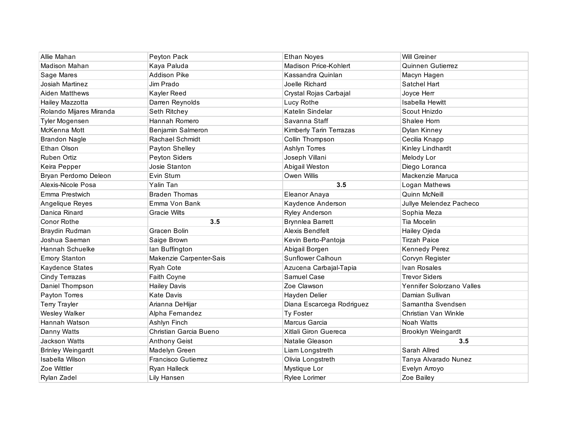| Allie Mahan              | Peyton Pack             | <b>Ethan Noyes</b>        | <b>Will Greiner</b>       |
|--------------------------|-------------------------|---------------------------|---------------------------|
| Madison Mahan            | Kaya Paluda             | Madison Price-Kohlert     | Quinnen Gutierrez         |
| Sage Mares               | <b>Addison Pike</b>     | Kassandra Quinlan         | Macyn Hagen               |
| Josiah Martinez          | Jim Prado               | Joelle Richard            | Satchel Hart              |
| <b>Aiden Matthews</b>    | Kayler Reed             | Crystal Rojas Carbajal    | Joyce Herr                |
| Hailey Mazzotta          | Darren Reynolds         | Lucy Rothe                | <b>Isabella Hewitt</b>    |
| Rolando Mijares Miranda  | Seth Ritchey            | Katelin Sindelar          | Scout Hnizdo              |
| Tyler Mogensen           | Hannah Romero           | Savanna Staff             | Shalee Horn               |
| McKenna Mott             | Benjamin Salmeron       | Kimberly Tarin Terrazas   | Dylan Kinney              |
| <b>Brandon Nagle</b>     | Rachael Schmidt         | Collin Thompson           | Cecilia Knapp             |
| Ethan Olson              | Payton Shelley          | Ashlyn Torres             | Kinley Lindhardt          |
| Ruben Ortiz              | Peyton Siders           | Joseph Villani            | Melody Lor                |
| Keira Pepper             | Josie Stanton           | Abigail Weston            | Diego Loranca             |
| Bryan Perdomo Deleon     | Evin Sturn              | Owen Willis               | Mackenzie Maruca          |
| Alexis-Nicole Posa       | Yalin Tan               | 3.5                       | Logan Mathews             |
| Emma Prestwich           | <b>Braden Thomas</b>    | Eleanor Anaya             | Quinn McNeill             |
| Angelique Reyes          | Emma Von Bank           | Kaydence Anderson         | Jullye Melendez Pacheco   |
| Danica Rinard            | Gracie Wilts            | <b>Ryley Anderson</b>     | Sophia Meza               |
| <b>Conor Rothe</b>       | 3.5                     | <b>Brynnlea Barrett</b>   | Tia Mocelin               |
| Braydin Rudman           | Gracen Bolin            | Alexis Bendfelt           | Hailey Ojeda              |
| Joshua Saeman            | Saige Brown             | Kevin Berto-Pantoja       | <b>Tirzah Paice</b>       |
| Hannah Schuelke          | lan Buffington          | Abigail Borgen            | <b>Kennedy Perez</b>      |
| <b>Emory Stanton</b>     | Makenzie Carpenter-Sais | Sunflower Calhoun         | Corvyn Register           |
| Kaydence States          | Ryah Cote               | Azucena Carbajal-Tapia    | Ivan Rosales              |
| Cindy Terrazas           | Faith Coyne             | Samuel Case               | <b>Trevor Siders</b>      |
| Daniel Thompson          | <b>Hailey Davis</b>     | Zoe Clawson               | Yennifer Solorzano Valles |
| Payton Torres            | <b>Kate Davis</b>       | Hayden Delier             | Damian Sullivan           |
| Terry Trayler            | Arianna DeHijar         | Diana Escarcega Rodriguez | Samantha Svendsen         |
| Wesley Walker            | Alpha Fernandez         | Ty Foster                 | Christian Van Winkle      |
| Hannah Watson            | Ashlyn Finch            | Marcus Garcia             | Noah Watts                |
| Danny Watts              | Christian Garcia Bueno  | Xitlali Giron Guereca     | Brooklyn Weingardt        |
| Jackson Watts            | <b>Anthony Geist</b>    | Natalie Gleason           | 3.5                       |
| <b>Brinley Weingardt</b> | Madelyn Green           | Liam Longstreth           | Sarah Allred              |
| Isabella Wilson          | Francisco Gutierrez     | Olivia Longstreth         | Tanya Alvarado Nunez      |
| Zoe Wittler              | Ryan Halleck            | Mystique Lor              | Evelyn Arroyo             |
| Rvlan Zadel              | Lily Hansen             | Rylee Lorimer             | Zoe Bailey                |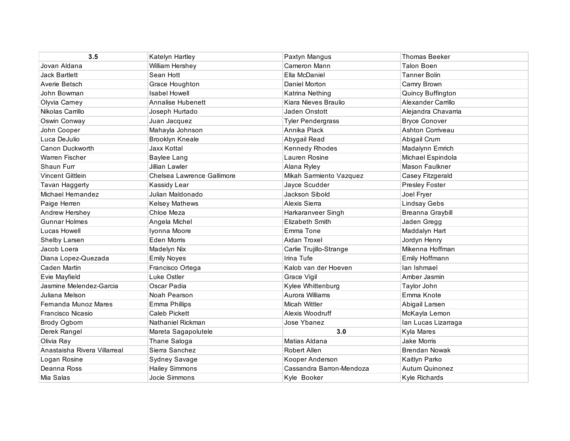| 3.5                          | Katelyn Hartley                   | Paxtyn Mangus            | <b>Thomas Beeker</b>  |
|------------------------------|-----------------------------------|--------------------------|-----------------------|
| Jovan Aldana                 | William Hershey                   | Cameron Mann             | <b>Talon Boen</b>     |
| Jack Bartlett                | Sean Hott                         | Ella McDaniel            | <b>Tanner Bolin</b>   |
| Averie Betsch                | Grace Houghton                    | Daniel Morton            | Camry Brown           |
| John Bowman                  | <b>Isabel Howell</b>              | Katrina Nething          | Quincy Buffington     |
| Olyvia Carney                | Annalise Hubenett                 | Kiara Nieves Braulio     | Alexander Carrillo    |
| Nikolas Carrillo             | Joseph Hurtado                    | Jaden Onstott            | Alejandra Chavarria   |
| Oswin Conway                 | Juan Jacquez                      | <b>Tyler Pendergrass</b> | <b>Bryce Conover</b>  |
| John Cooper                  | Mahayla Johnson                   | Annika Plack             | Ashton Corriveau      |
| Luca DeJulio                 | <b>Brooklyn Kneale</b>            | Abygail Read             | Abigail Crum          |
| Canon Duckworth              | <b>Jaxx Kottal</b>                | <b>Kennedy Rhodes</b>    | Madalynn Emrich       |
| Warren Fischer               | <b>Baylee Lang</b>                | Lauren Rosine            | Michael Espindola     |
| Shaun Furr                   | Jillian Lawler                    | Alana Ryley              | <b>Mason Faulkner</b> |
| Vincent Gittlein             | <b>Chelsea Lawrence Gallimore</b> | Mikah Sarmiento Vazquez  | Casey Fitzgerald      |
| Tavan Haggerty               | Kassidy Lear                      | Jayce Scudder            | Presley Foster        |
| Michael Hernandez            | Julian Maldonado                  | Jackson Sibold           | Joel Fryer            |
| Paige Herren                 | <b>Kelsey Mathews</b>             | Alexis Sierra            | <b>Lindsay Gebs</b>   |
| Andrew Hershey               | Chloe Meza                        | Harkaranveer Singh       | Breanna Graybill      |
| <b>Gunnar Holmes</b>         | Angela Michel                     | <b>Elizabeth Smith</b>   | Jaden Gregg           |
| <b>Lucas Howell</b>          | Iyonna Moore                      | Emma Tone                | Maddalyn Hart         |
| Shelby Larsen                | Eden Morris                       | Aidan Troxel             | Jordyn Henry          |
| Jacob Loera                  | Madelyn Nix                       | Carlie Trujillo-Strange  | Mikenna Hoffman       |
| Diana Lopez-Quezada          | <b>Emily Noyes</b>                | Irina Tufe               | Emily Hoffmann        |
| Caden Martin                 | Francisco Ortega                  | Kalob van der Hoeven     | lan Ishmael           |
| Evie Mayfield                | Luke Ostler                       | Grace Vigil              | Amber Jasmin          |
| Jasmine Melendez-Garcia      | Oscar Padia                       | Kylee Whittenburg        | Taylor John           |
| Juliana Melson               | Noah Pearson                      | Aurora Williams          | Emma Knote            |
| Fernanda Munoz Mares         | Emma Phillips                     | Micah Wittler            | Abigail Larsen        |
| Francisco Nicasio            | Caleb Pickett                     | Alexis Woodruff          | McKayla Lemon         |
| Brody Ogborn                 | Nathaniel Rickman                 | Jose Ybanez              | Ian Lucas Lizarraga   |
| Derek Rangel                 | Mareta Sagapolutele               | 3.0                      | Kyla Mares            |
| Olivia Ray                   | Thane Saloga                      | Matias Aldana            | <b>Jake Morris</b>    |
| Anastaisha Rivera Villarreal | Sierra Sanchez                    | Robert Allen             | <b>Brendan Nowak</b>  |
| Logan Rosine                 | Sydney Savage                     | Kooper Anderson          | Kaitlyn Parko         |
| Deanna Ross                  | <b>Hailey Simmons</b>             | Cassandra Barron-Mendoza | <b>Autum Quinonez</b> |
| Mia Salas                    | Jocie Simmons                     | Kyle Booker              | Kyle Richards         |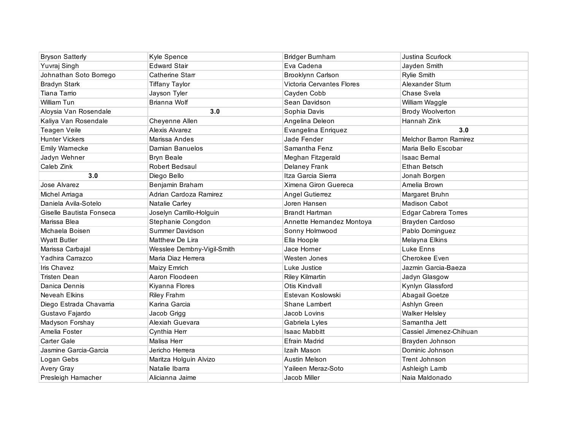| <b>Bryson Satterly</b>   | Kyle Spence                | <b>Bridger Burnham</b>    | <b>Justina Scurlock</b>     |
|--------------------------|----------------------------|---------------------------|-----------------------------|
| Yuvraj Singh             | <b>Edward Stair</b>        | Eva Cadena                | Jayden Smith                |
| Johnathan Soto Borrego   | Catherine Starr            | <b>Brooklynn Carlson</b>  | Rylie Smith                 |
| <b>Bradyn Stark</b>      | <b>Tiffany Taylor</b>      | Victoria Cervantes Flores | Alexander Sturn             |
| Tiana Tarrio             | Jayson Tyler               | Cayden Cobb               | Chase Svela                 |
| William Tun              | Brianna Wolf               | Sean Davidson             | William Waggle              |
| Aloysia Van Rosendale    | 3.0                        | Sophia Davis              | <b>Brody Woolverton</b>     |
| Kaliya Van Rosendale     | Cheyenne Allen             | Angelina Deleon           | Hannah Zink                 |
| <b>Teagen Veile</b>      | Alexis Alvarez             | Evangelina Enriquez       | 3.0                         |
| <b>Hunter Vickers</b>    | Marissa Andes              | Jade Fender               | Melchor Barron Ramirez      |
| <b>Emily Warnecke</b>    | Damian Banuelos            | Samantha Fenz             | Maria Bello Escobar         |
| Jadyn Wehner             | <b>Bryn Beale</b>          | Meghan Fitzgerald         | <b>Isaac Bernal</b>         |
| Caleb Zink               | Robert Bedsaul             | Delaney Frank             | <b>Ethan Betsch</b>         |
| 3.0                      | Diego Bello                | Itza Garcia Sierra        | Jonah Borgen                |
| Jose Alvarez             | Benjamin Braham            | Ximena Giron Guereca      | Amelia Brown                |
| Michel Arriaga           | Adrian Cardoza Ramirez     | <b>Angel Gutierrez</b>    | Margaret Bruhn              |
| Daniela Avila-Sotelo     | Natalie Carley             | Joren Hansen              | <b>Madison Cabot</b>        |
| Giselle Bautista Fonseca | Joselyn Carrillo-Holguin   | <b>Brandt Hartman</b>     | <b>Edgar Cabrera Torres</b> |
| Marissa Blea             | Stephanie Congdon          | Annette Hernandez Montoya | Brayden Cardoso             |
| Michaela Boisen          | Summer Davidson            | Sonny Holmwood            | Pablo Dominguez             |
| <b>Wyatt Butler</b>      | Matthew De Lira            | Ella Hoople               | Melayna Elkins              |
| Marissa Carbajal         | Wesslee Dembny-Vigil-Smith | Jace Horner               | Luke Enns                   |
| Yadhira Carrazco         | Maria Diaz Herrera         | Westen Jones              | Cherokee Even               |
| Iris Chavez              | Maizy Emrich               | Luke Justice              | Jazmin Garcia-Baeza         |
| <b>Tristen Dean</b>      | Aaron Floodeen             | <b>Riley Kilmartin</b>    | Jadyn Glasgow               |
| Danica Dennis            | Kiyanna Flores             | <b>Otis Kindvall</b>      | Kynlyn Glassford            |
| Neveah Elkins            | <b>Riley Frahm</b>         | Estevan Koslowski         | Abagail Goetze              |
| Diego Estrada Chavarria  | Karina Garcia              | Shane Lambert             | Ashlyn Green                |
| Gustavo Fajardo          | Jacob Grigg                | Jacob Lovins              | <b>Walker Helsley</b>       |
| Madyson Forshay          | Alexiah Guevara            | Gabriela Lyles            | Samantha Jett               |
| Amelia Foster            | Cynthia Herr               | <b>Isaac Mabbitt</b>      | Cassiel Jimenez-Chihuan     |
| <b>Carter Gale</b>       | Malisa Herr                | Efrain Madrid             | Brayden Johnson             |
| Jasmine Garcia-Garcia    | Jericho Herrera            | Izaih Mason               | Dominic Johnson             |
| Logan Gebs               | Maritza Holguin Alvizo     | Austin Melson             | Trent Johnson               |
| Avery Gray               | Natalie Ibarra             | Yaileen Meraz-Soto        | Ashleigh Lamb               |
| Presleigh Hamacher       | Alicianna Jaime            | Jacob Miller              | Naia Maldonado              |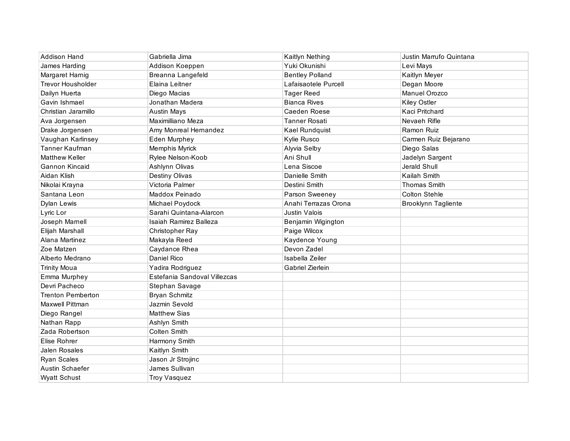| <b>Addison Hand</b>      | Gabriella Jima               | Kaitlyn Nething        | Justin Marrufo Quintana    |
|--------------------------|------------------------------|------------------------|----------------------------|
| James Harding            | Addison Koeppen              | Yuki Okunishi          | Levi Mays                  |
| Margaret Harnig          | Breanna Langefeld            | <b>Bentley Polland</b> | Kaitlyn Meyer              |
| <b>Trevor Housholder</b> | Elaina Leitner               | Lafaisaotele Purcell   | Degan Moore                |
| Dailyn Huerta            | Diego Macias                 | <b>Tager Reed</b>      | Manuel Orozco              |
| Gavin Ishmael            | Jonathan Madera              | <b>Bianca Rives</b>    | Kiley Ostler               |
| Christian Jaramillo      | <b>Austin Mays</b>           | Caeden Roese           | Kaci Pritchard             |
| Ava Jorgensen            | Maximilliano Meza            | <b>Tanner Rosati</b>   | Nevaeh Rifle               |
| Drake Jorgensen          | Amy Monreal Hernandez        | Kael Rundquist         | Ramon Ruiz                 |
| Vaughan Karlinsey        | Eden Murphey                 | Kylie Rusco            | Carmen Ruiz Bejarano       |
| <b>Tanner Kaufman</b>    | Memphis Myrick               | Alyvia Selby           | Diego Salas                |
| <b>Matthew Keller</b>    | Rylee Nelson-Koob            | Ani Shull              | Jadelyn Sargent            |
| <b>Gannon Kincaid</b>    | Ashlynn Olivas               | Lena Siscoe            | Jerald Shull               |
| Aidan Klish              | Destiny Olivas               | Danielle Smith         | Kailah Smith               |
| Nikolai Krayna           | Victoria Palmer              | Destini Smith          | <b>Thomas Smith</b>        |
| Santana Leon             | Maddox Peinado               | Parson Sweeney         | <b>Colton Stehle</b>       |
| Dylan Lewis              | Michael Poydock              | Anahi Terrazas Orona   | <b>Brooklynn Tagliente</b> |
| Lyric Lor                | Sarahi Quintana-Alarcon      | <b>Justin Valois</b>   |                            |
| Joseph Marnell           | Isaiah Ramirez Balleza       | Benjamin Wigington     |                            |
| Elijah Marshall          | Christopher Ray              | Paige Wilcox           |                            |
| Alana Martinez           | Makayla Reed                 | Kaydence Young         |                            |
| Zoe Matzen               | Caydance Rhea                | Devon Zadel            |                            |
| Alberto Medrano          | Daniel Rico                  | Isabella Zeiler        |                            |
| <b>Trinity Moua</b>      | Yadira Rodriguez             | Gabriel Zierlein       |                            |
| Emma Murphey             | Estefania Sandoval Villezcas |                        |                            |
| Devri Pacheco            | Stephan Savage               |                        |                            |
| <b>Trenton Pemberton</b> | <b>Bryan Schmitz</b>         |                        |                            |
| Maxwell Pittman          | Jazmin Sevold                |                        |                            |
| Diego Rangel             | <b>Matthew Sias</b>          |                        |                            |
| Nathan Rapp              | Ashlyn Smith                 |                        |                            |
| Zada Robertson           | Colten Smith                 |                        |                            |
| Elise Rohrer             | Harmony Smith                |                        |                            |
| <b>Jalen Rosales</b>     | Kaitlyn Smith                |                        |                            |
| <b>Ryan Scales</b>       | Jason Jr Strojinc            |                        |                            |
| Austin Schaefer          | James Sullivan               |                        |                            |
| <b>Wyatt Schust</b>      | <b>Troy Vasquez</b>          |                        |                            |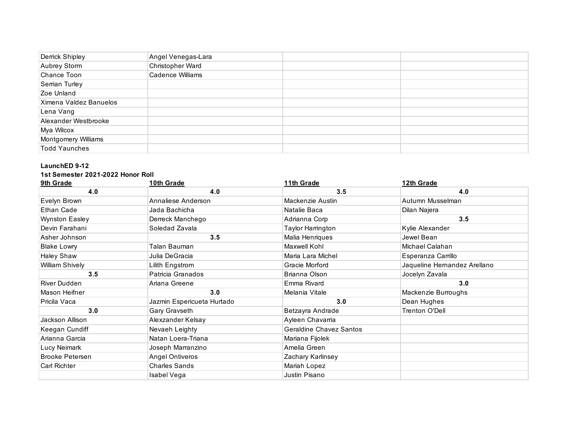| Derrick Shipley        | Angel Venegas-Lara      |  |
|------------------------|-------------------------|--|
| Aubrey Storm           | Christopher Ward        |  |
| Chance Toon            | <b>Cadence Williams</b> |  |
| Serrian Turley         |                         |  |
| Zoe Unland             |                         |  |
| Ximena Valdez Banuelos |                         |  |
| Lena Vang              |                         |  |
| Alexander Westbrooke   |                         |  |
| Mya Wilcox             |                         |  |
| Montgomery Williams    |                         |  |
| <b>Todd Yaunches</b>   |                         |  |

### **LaunchED 9-12**

| 9th Grade              | 10th Grade                 | 11th Grade              | 12th Grade                  |
|------------------------|----------------------------|-------------------------|-----------------------------|
| 4.0                    | 4.0                        | 3.5                     | 4.0                         |
| Evelyn Brown           | Annaliese Anderson         | Mackenzie Austin        | Autumn Musselman            |
| Ethan Cade             | Jada Bachicha              | Natalie Baca            | Dilan Najera                |
| <b>Wynston Easley</b>  | Derreck Manchego           | Adrianna Corp           | 3.5                         |
| Devin Farahani         | Soledad Zavala             | Taylor Harrington       | Kylie Alexander             |
| Asher Johnson          | 3.5                        | Malia Henriques         | Jewel Bean                  |
| <b>Blake Lowry</b>     | Talan Bauman               | Maxwell Kohl            | Michael Calahan             |
| Haley Shaw             | Julia DeGracia             | Maria Lara Michel       | Esperanza Carrillo          |
| William Shively        | Lilith Engstrom            | Gracie Morford          | Jaqueline Hemandez Arellano |
| 3.5                    | Patricia Granados          | Brianna Olson           | Jocelyn Zavala              |
| <b>River Dudden</b>    | Ariana Greene              | Emma Rivard             | 3.0                         |
| Mason Heifner          | 3.0                        | Melania Vitale          | Mackenzie Burroughs         |
| Pricila Vaca           | Jazmin Espericueta Hurtado | 3.0                     | Dean Hughes                 |
| 3.0                    | Gary Gravseth              | Betzayra Andrade        | Trenton O'Dell              |
| Jackson Allison        | Alexzander Kelsay          | Ayleen Chavarria        |                             |
| Keegan Cundiff         | Nevaeh Leighty             | Geraldine Chavez Santos |                             |
| Arianna Garcia         | Natan Loera-Triana         | Mariana Fijolek         |                             |
| Lucy Neimark           | Joseph Marranzino          | Amelia Green            |                             |
| <b>Brooke Petersen</b> | Angel Ontiveros            | Zachary Karlinsey       |                             |
| Carl Richter           | <b>Charles Sands</b>       | Mariah Lopez            |                             |
|                        | Isabel Vega                | Justin Pisano           |                             |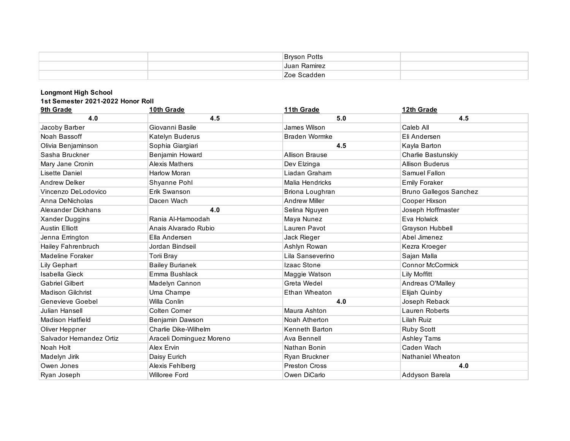| <b>Bryson Potts</b> |  |
|---------------------|--|
| Juan Ramirez        |  |
| Zoe Scadden         |  |

## **Longmont High School**

| 9th Grade                | 10th Grade               | 11th Grade            | 12th Grade                    |
|--------------------------|--------------------------|-----------------------|-------------------------------|
| 4.0                      | 4.5                      | 5.0                   | 4.5                           |
| Jacoby Barber            | Giovanni Basile          | James Wilson          | Caleb All                     |
| Noah Bassoff             | Katelyn Buderus          | <b>Braden Wormke</b>  | Eli Andersen                  |
| Olivia Benjaminson       | Sophia Giargiari         | 4.5                   | Kayla Barton                  |
| Sasha Bruckner           | Benjamin Howard          | <b>Allison Brause</b> | Charlie Bastunskiy            |
| Mary Jane Cronin         | Alexis Mathers           | Dev Elzinga           | <b>Allison Buderus</b>        |
| Lisette Daniel           | Harlow Moran             | Liadan Graham         | Samuel Fallon                 |
| <b>Andrew Delker</b>     | Shyanne Pohl             | Malia Hendricks       | <b>Emily Foraker</b>          |
| Vincenzo DeLodovico      | Erik Swanson             | Briona Loughran       | <b>Bruno Gallegos Sanchez</b> |
| Anna DeNicholas          | Dacen Wach               | <b>Andrew Miller</b>  | Cooper Hixson                 |
| Alexander Dickhans       | 4.0                      | Selina Nguyen         | Joseph Hoffmaster             |
| Xander Duggins           | Rania Al-Hamoodah        | Maya Nunez            | Eva Holwick                   |
| <b>Austin Elliott</b>    | Anais Alvarado Rubio     | Lauren Pavot          | Grayson Hubbell               |
| Jenna Errington          | Ella Andersen            | Jack Rieger           | Abel Jimenez                  |
| Hailey Fahrenbruch       | Jordan Bindseil          | Ashlyn Rowan          | Kezra Kroeger                 |
| Madeline Foraker         | Torii Bray               | Lila Sanseverino      | Sajan Malla                   |
| Lily Gephart             | <b>Bailey Burianek</b>   | Izaac Stone           | <b>Connor McCormick</b>       |
| <b>Isabella Gieck</b>    | Emma Bushlack            | Maggie Watson         | Lily Moffitt                  |
| <b>Gabriel Gilbert</b>   | Madelyn Cannon           | Greta Wedel           | Andreas O'Malley              |
| <b>Madison Gilchrist</b> | Uma Champe               | Ethan Wheaton         | Elijah Quinby                 |
| Genevieve Goebel         | Willa Conlin             | 4.0                   | Joseph Reback                 |
| Julian Hansell           | Colten Corner            | Maura Ashton          | Lauren Roberts                |
| <b>Madison Hatfield</b>  | Benjamin Dawson          | Noah Atherton         | Lilah Ruiz                    |
| Oliver Heppner           | Charlie Dike-Wilhelm     | Kenneth Barton        | <b>Ruby Scott</b>             |
| Salvador Hernandez Ortiz | Araceli Dominguez Moreno | Ava Bennell           | <b>Ashley Tams</b>            |
| Noah Holt                | Alex Ervin               | Nathan Bonin          | Caden Wach                    |
| Madelyn Jirik            | Daisy Eurich             | Ryan Bruckner         | <b>Nathaniel Wheaton</b>      |
| Owen Jones               | Alexis Fehlberg          | <b>Preston Cross</b>  | 4.0                           |
| Ryan Joseph              | Willoree Ford            | Owen DiCarlo          | Addyson Barela                |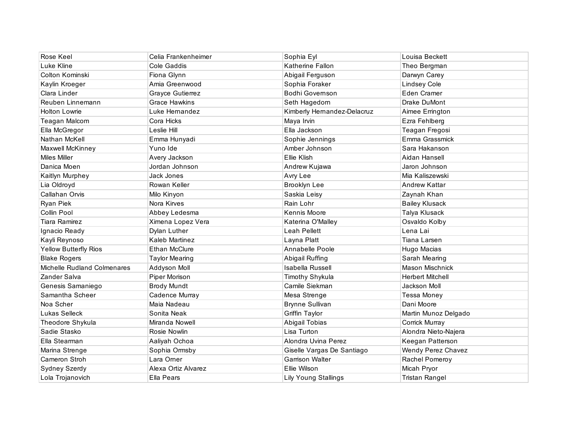| Rose Keel                    | Celia Frankenheimer   | Sophia Eyl                  | Louisa Beckett          |
|------------------------------|-----------------------|-----------------------------|-------------------------|
| Luke Kline                   | Cole Gaddis           | Katherine Fallon            | Theo Bergman            |
| Colton Kominski              | Fiona Glynn           | Abigail Ferguson            | Darwyn Carey            |
| Kaylin Kroeger               | Amia Greenwood        | Sophia Foraker              | <b>Lindsey Cole</b>     |
| Clara Linder                 | Grayce Gutierrez      | <b>Bodhi Governson</b>      | Eden Cramer             |
| Reuben Linnemann             | <b>Grace Hawkins</b>  | Seth Hagedorn               | Drake DuMont            |
| <b>Holton Lowrie</b>         | Luke Hernandez        | Kimberly Hernandez-Delacruz | Aimee Errington         |
| <b>Teagan Malcom</b>         | Cora Hicks            | Maya Irvin                  | Ezra Fehlberg           |
| Ella McGregor                | Leslie Hill           | Ella Jackson                | Teagan Fregosi          |
| Nathan McKell                | Emma Hunyadi          | Sophie Jennings             | Emma Grassmick          |
| Maxwell McKinney             | Yuno Ide              | Amber Johnson               | Sara Hakanson           |
| <b>Miles Miller</b>          | Avery Jackson         | Ellie Klish                 | Aidan Hansell           |
| Danica Moen                  | Jordan Johnson        | Andrew Kujawa               | Jaron Johnson           |
| Kaitlyn Murphey              | Jack Jones            | Avry Lee                    | Mia Kaliszewski         |
| Lia Oldroyd                  | Rowan Keller          | Brooklyn Lee                | <b>Andrew Kattar</b>    |
| Callahan Orvis               | Milo Kinyon           | Saskia Leisy                | Zaynah Khan             |
| <b>Ryan Piek</b>             | Nora Kirves           | Rain Lohr                   | <b>Bailey Klusack</b>   |
| Collin Pool                  | Abbey Ledesma         | Kennis Moore                | Talya Klusack           |
| <b>Tiara Ramirez</b>         | Ximena Lopez Vera     | Katerina O'Malley           | Osvaldo Kolby           |
| Ignacio Ready                | Dylan Luther          | Leah Pellett                | Lena Lai                |
| Kayli Reynoso                | Kaleb Martinez        | Layna Platt                 | Tiana Larsen            |
| <b>Yellow Butterfly Rios</b> | Ethan McClure         | Annabelle Poole             | Hugo Macias             |
| <b>Blake Rogers</b>          | <b>Taylor Mearing</b> | Abigail Ruffing             | Sarah Mearing           |
| Michelle Rudland Colmenares  | Addyson Moll          | <b>Isabella Russell</b>     | Mason Mischnick         |
| Zander Salva                 | Piper Morison         | <b>Timothy Shykula</b>      | <b>Herbert Mitchell</b> |
| Genesis Samaniego            | <b>Brody Mundt</b>    | Camile Siekman              | Jackson Moll            |
| Samantha Scheer              | Cadence Murray        | Mesa Strenge                | Tessa Money             |
| Noa Scher                    | Maia Nadeau           | <b>Brynne Sullivan</b>      | Dani Moore              |
| Lukas Selleck                | Sonita Neak           | Griffin Taylor              | Martin Munoz Delgado    |
| Theodore Shykula             | Miranda Nowell        | Abigail Tobias              | Corrick Murray          |
| Sadie Stasko                 | Rosie Nowlin          | Lisa Turton                 | Alondra Nieto-Najera    |
| Ella Stearman                | Aaliyah Ochoa         | Alondra Uvina Perez         | Keegan Patterson        |
| Marina Strenge               | Sophia Ormsby         | Giselle Vargas De Santiago  | Wendy Perez Chavez      |
| Cameron Stroh                | Lara Orner            | <b>Garrison Walter</b>      | Rachel Pomeroy          |
| Sydney Szerdy                | Alexa Ortiz Alvarez   | Ellie Wilson                | Micah Pryor             |
| Lola Trojanovich             | Ella Pears            | Lily Young Stallings        | <b>Tristan Rangel</b>   |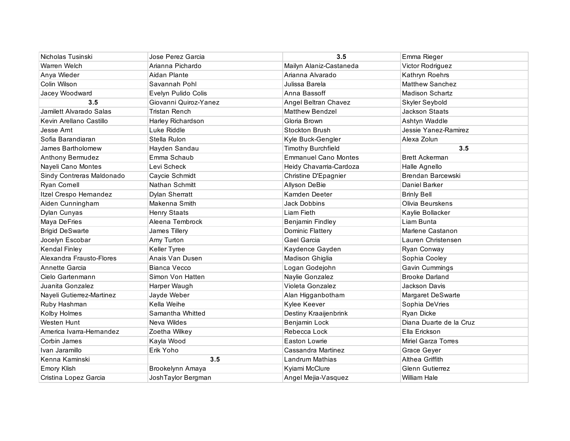| Nicholas Tusinski         | Jose Perez Garcia     | 3.5                         | Emma Rieger                |
|---------------------------|-----------------------|-----------------------------|----------------------------|
| Warren Welch              | Arianna Pichardo      | Mailyn Alaniz-Castaneda     | Victor Rodriguez           |
| Anya Wieder               | Aidan Plante          | Arianna Alvarado            | Kathryn Roehrs             |
| Colin Wilson              | Savannah Pohl         | Julissa Barela              | <b>Matthew Sanchez</b>     |
| Jacey Woodward            | Evelyn Pulido Colis   | Anna Bassoff                | Madison Schartz            |
| 3.5                       | Giovanni Quiroz-Yanez | Angel Beltran Chavez        | Skyler Seybold             |
| Jamilett Alvarado Salas   | <b>Tristan Rench</b>  | Matthew Bendzel             | <b>Jackson Staats</b>      |
| Kevin Arellano Castillo   | Harley Richardson     | Gloria Brown                | Ashtyn Waddle              |
| Jesse Arnt                | Luke Riddle           | <b>Stockton Brush</b>       | Jessie Yanez-Ramirez       |
| Sofia Barandiaran         | Stella Rulon          | Kyle Buck-Gengler           | Alexa Zolun                |
| James Bartholomew         | Hayden Sandau         | <b>Timothy Burchfield</b>   | 3.5                        |
| Anthony Bermudez          | Emma Schaub           | <b>Emmanuel Cano Montes</b> | <b>Brett Ackerman</b>      |
| Nayeli Cano Montes        | Levi Scheck           | Heidy Chavarria-Cardoza     | Halle Agnello              |
| Sindy Contreras Maldonado | Caycie Schmidt        | Christine D'Epagnier        | Brendan Barcewski          |
| Ryan Cornell              | Nathan Schmitt        | Allyson DeBie               | Daniel Barker              |
| Itzel Crespo Hernandez    | <b>Dylan Sherratt</b> | Kamden Deeter               | <b>Brinly Bell</b>         |
| Aiden Cunningham          | Makenna Smith         | <b>Jack Dobbins</b>         | Olivia Beurskens           |
| Dylan Cunyas              | <b>Henry Staats</b>   | Liam Fieth                  | Kaylie Bollacker           |
| Maya DeFries              | Aleena Tembrock       | Benjamin Findley            | Liam Bunta                 |
| <b>Brigid DeSwarte</b>    | James Tillery         | Dominic Flattery            | Marlene Castanon           |
| Jocelyn Escobar           | Amy Turton            | Gael Garcia                 | Lauren Christensen         |
| Kendal Finley             | Keller Tyree          | Kaydence Gayden             | Ryan Conway                |
| Alexandra Frausto-Flores  | Anais Van Dusen       | Madison Ghiglia             | Sophia Cooley              |
| Annette Garcia            | Bianca Vecco          | Logan Godejohn              | Gavin Cummings             |
| Cielo Gartenmann          | Simon Von Hatten      | Naylie Gonzalez             | <b>Brooke Darland</b>      |
| Juanita Gonzalez          | Harper Waugh          | Violeta Gonzalez            | <b>Jackson Davis</b>       |
| Nayeli Gutierrez-Martinez | Jayde Weber           | Alan Higganbotham           | Margaret DeSwarte          |
| Ruby Hashman              | Kella Weihe           | Kylee Keever                | Sophia DeVries             |
| Kolby Holmes              | Samantha Whitted      | Destiny Kraaijenbrink       | Ryan Dicke                 |
| <b>Westen Hunt</b>        | Neva Wildes           | Benjamin Lock               | Diana Duarte de la Cruz    |
| America Ivarra-Hernandez  | Zoetha Wilkey         | Rebecca Lock                | Ella Erickson              |
| Corbin James              | Kayla Wood            | Easton Lowrie               | <b>Miriel Garza Torres</b> |
| Ivan Jaramillo            | Erik Yoho             | Cassandra Martinez          | Grace Geyer                |
| Kenna Kaminski            | 3.5                   | Landrum Mathias             | Althea Griffith            |
| Emory Klish               | Brookelynn Amaya      | Kyiami McClure              | Glenn Gutierrez            |
| Cristina Lopez Garcia     | JoshTaylor Bergman    | Angel Mejia-Vasquez         | William Hale               |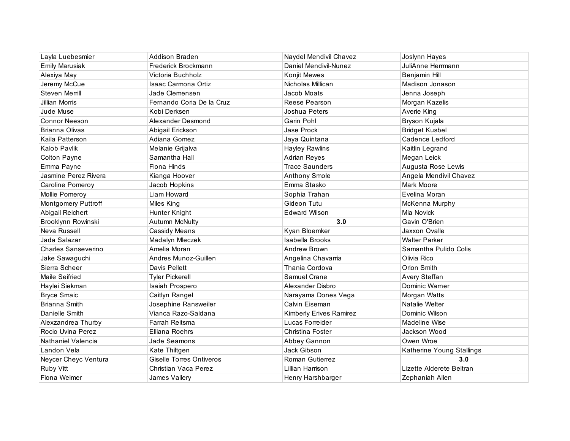| Layla Luebesmier      | Addison Braden                  | Naydel Mendivil Chavez  | Joslynn Hayes             |
|-----------------------|---------------------------------|-------------------------|---------------------------|
| <b>Emily Marusiak</b> | Frederick Brockmann             | Daniel Mendivil-Nunez   | JuliAnne Herrmann         |
| Alexiya May           | Victoria Buchholz               | Konjit Mewes            | Benjamin Hill             |
| Jeremy McCue          | Isaac Carmona Ortiz             | Nicholas Millican       | Madison Jonason           |
| <b>Steven Merrill</b> | Jade Clemensen                  | Jacob Moats             | Jenna Joseph              |
| Jillian Morris        | Fernando Coria De la Cruz       | Reese Pearson           | Morgan Kazelis            |
| Jude Muse             | Kobi Derksen                    | Joshua Peters           | Averie King               |
| <b>Connor Neeson</b>  | Alexander Desmond               | Garin Pohl              | Bryson Kujala             |
| <b>Brianna Olivas</b> | Abigail Erickson                | Jase Prock              | <b>Bridget Kusbel</b>     |
| Kaila Patterson       | Adiana Gomez                    | Jaya Quintana           | Cadence Ledford           |
| Kalob Pavlik          | Melanie Grijalva                | Hayley Rawlins          | Kaitlin Legrand           |
| <b>Colton Payne</b>   | Samantha Hall                   | <b>Adrian Reyes</b>     | Megan Leick               |
| Emma Payne            | Fiona Hinds                     | <b>Trace Saunders</b>   | Augusta Rose Lewis        |
| Jasmine Perez Rivera  | Kianga Hoover                   | Anthony Smole           | Angela Mendivil Chavez    |
| Caroline Pomeroy      | Jacob Hopkins                   | Emma Stasko             | Mark Moore                |
| Mollie Pomeroy        | Liam Howard                     | Sophia Trahan           | Evelina Moran             |
| Montgomery Puttroff   | Miles King                      | Gideon Tutu             | McKenna Murphy            |
| Abigail Reichert      | Hunter Knight                   | <b>Edward Wilson</b>    | Mia Novick                |
| Brooklynn Rowinski    | <b>Autumn McNulty</b>           | 3.0                     | Gavin O'Brien             |
| Neva Russell          | Cassidy Means                   | Kyan Bloemker           | Jaxxon Ovalle             |
| Jada Salazar          | Madalyn Mleczek                 | Isabella Brooks         | <b>Walter Parker</b>      |
| Charles Sanseverino   | Amelia Moran                    | Andrew Brown            | Samantha Pulido Colis     |
| Jake Sawaguchi        | Andres Munoz-Guillen            | Angelina Chavarria      | Olivia Rico               |
| Sierra Scheer         | Davis Pellett                   | Thania Cordova          | Orion Smith               |
| Maile Seifried        | <b>Tyler Pickerell</b>          | Samuel Crane            | Avery Steffan             |
| Haylei Siekman        | Isaiah Prospero                 | Alexander Disbro        | Dominic Warner            |
| <b>Bryce Smaic</b>    | Caitlyn Rangel                  | Narayama Dones Vega     | Morgan Watts              |
| Brianna Smith         | Josephine Ransweiler            | Calvin Eiseman          | Natalie Welter            |
| Danielle Smith        | Vianca Razo-Saldana             | Kimberly Erives Ramirez | Dominic Wilson            |
| Alexzandrea Thurby    | Farrah Reitsma                  | Lucas Forreider         | Madeline Wise             |
| Rocio Uvina Perez     | Elliana Roehrs                  | <b>Christina Foster</b> | Jackson Wood              |
| Nathaniel Valencia    | Jade Seamons                    | Abbey Gannon            | Owen Wroe                 |
| Landon Vela           | Kate Thiltgen                   | Jack Gibson             | Katherine Young Stallings |
| Neycer Cheyc Ventura  | <b>Giselle Torres Ontiveros</b> | Roman Gutierrez         | 3.0                       |
| Ruby Vitt             | Christian Vaca Perez            | Lillian Harrison        | Lizette Alderete Beltran  |
| Fiona Weimer          | James Vallery                   | Henry Harshbarger       | Zephaniah Allen           |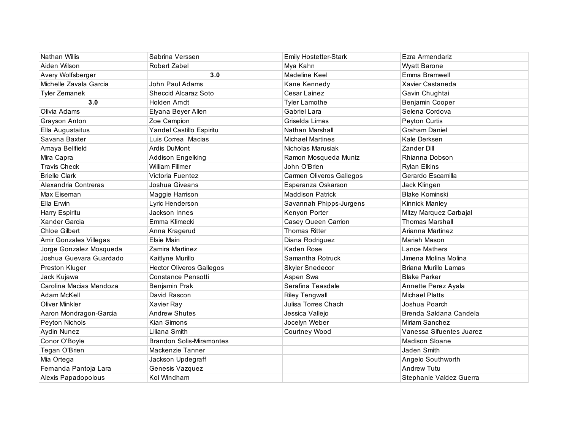| Nathan Willis           | Sabrina Verssen                 | <b>Emily Hostetter-Stark</b> | Ezra Armendariz          |
|-------------------------|---------------------------------|------------------------------|--------------------------|
| Aiden Wilson            | <b>Robert Zabel</b>             | Mya Kahn                     | <b>Wyatt Barone</b>      |
| Avery Wolfsberger       | 3.0                             | Madeline Keel                | Emma Bramwell            |
| Michelle Zavala Garcia  | John Paul Adams                 | Kane Kennedy                 | Xavier Castaneda         |
| <b>Tyler Zemanek</b>    | Sheccid Alcaraz Soto            | Cesar Lainez                 | Gavin Chughtai           |
| 3.0                     | Holden Arndt                    | <b>Tyler Lamothe</b>         | Benjamin Cooper          |
| Olivia Adams            | Elyana Beyer Allen              | Gabriel Lara                 | Selena Cordova           |
| Grayson Anton           | Zoe Campion                     | Griselda Limas               | Peyton Curtis            |
| Ella Augustaitus        | Yandel Castillo Espiritu        | Nathan Marshall              | <b>Graham Daniel</b>     |
| Savana Baxter           | Luis Correa Macias              | <b>Michael Martines</b>      | Kale Derksen             |
| Amaya Bellfield         | Ardis DuMont                    | Nicholas Marusiak            | <b>Zander Dill</b>       |
| Mira Capra              | Addison Engelking               | Ramon Mosqueda Muniz         | Rhianna Dobson           |
| <b>Travis Check</b>     | William Fillmer                 | John O'Brien                 | <b>Rylan Elkins</b>      |
| <b>Brielle Clark</b>    | Victoria Fuentez                | Carmen Oliveros Gallegos     | Gerardo Escamilla        |
| Alexandria Contreras    | Joshua Giveans                  | Esperanza Oskarson           | Jack Klingen             |
| Max Eiseman             | Maggie Harrison                 | <b>Maddison Patrick</b>      | <b>Blake Kominski</b>    |
| Ella Erwin              | Lyric Henderson                 | Savannah Phipps-Jurgens      | Kinnick Manley           |
| Harry Espiritu          | Jackson Innes                   | Kenyon Porter                | Mitzy Marquez Carbajal   |
| <b>Xander Garcia</b>    | Emma Klimecki                   | Casey Queen Carrion          | <b>Thomas Marshall</b>   |
| <b>Chloe Gilbert</b>    | Anna Kragerud                   | <b>Thomas Ritter</b>         | Arianna Martinez         |
| Amir Gonzales Villegas  | Elsie Main                      | Diana Rodriguez              | Mariah Mason             |
| Jorge Gonzalez Mosqueda | Zamira Martinez                 | Kaden Rose                   | <b>Lance Mathers</b>     |
| Joshua Guevara Guardado | Kaitlyne Murillo                | Samantha Rotruck             | Jimena Molina Molina     |
| Preston Kluger          | <b>Hector Oliveros Gallegos</b> | <b>Skyler Snedecor</b>       | Briana Murillo Lamas     |
| Jack Kujawa             | <b>Constance Pensotti</b>       | Aspen Swa                    | <b>Blake Parker</b>      |
| Carolina Macias Mendoza | Benjamin Prak                   | Serafina Teasdale            | Annette Perez Ayala      |
| Adam McKell             | David Rascon                    | <b>Riley Tengwall</b>        | <b>Michael Platts</b>    |
| Oliver Minkler          | Xavier Ray                      | Julisa Torres Chach          | Joshua Poarch            |
| Aaron Mondragon-Garcia  | <b>Andrew Shutes</b>            | Jessica Vallejo              | Brenda Saldana Candela   |
| Peyton Nichols          | Kian Simons                     | Jocelyn Weber                | Miriam Sanchez           |
| Aydin Nunez             | Liliana Smith                   | Courtney Wood                | Vanessa Sifuentes Juarez |
| Conor O'Boyle           | <b>Brandon Solis-Miramontes</b> |                              | <b>Madison Sloane</b>    |
| Tegan O'Brien           | Mackenzie Tanner                |                              | Jaden Smith              |
| Mia Ortega              | Jackson Updegraff               |                              | Angelo Southworth        |
| Fernanda Pantoja Lara   | Genesis Vazquez                 |                              | <b>Andrew Tutu</b>       |
| Alexis Papadopolous     | Kol Windham                     |                              | Stephanie Valdez Guerra  |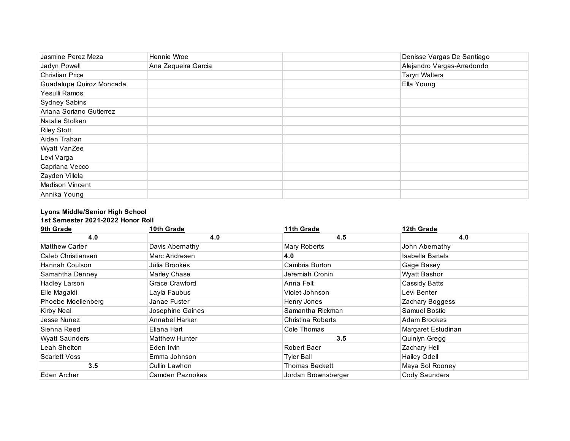| Jasmine Perez Meza       | Hennie Wroe         | Denisse Vargas De Santiago |
|--------------------------|---------------------|----------------------------|
| Jadyn Powell             | Ana Zequeira Garcia | Alejandro Vargas-Arredondo |
| <b>Christian Price</b>   |                     | <b>Taryn Walters</b>       |
| Guadalupe Quiroz Moncada |                     | Ella Young                 |
| Yesulli Ramos            |                     |                            |
| Sydney Sabins            |                     |                            |
| Ariana Soriano Gutierrez |                     |                            |
| Natalie Stolken          |                     |                            |
| <b>Riley Stott</b>       |                     |                            |
| Aiden Trahan             |                     |                            |
| Wyatt VanZee             |                     |                            |
| Levi Varga               |                     |                            |
| Capriana Vecco           |                     |                            |
| Zayden Villela           |                     |                            |
| Madison Vincent          |                     |                            |
| Annika Young             |                     |                            |

## **Lyons Middle/Senior High School**

| 9th Grade             | 10th Grade            | 11th Grade            | 12th Grade           |
|-----------------------|-----------------------|-----------------------|----------------------|
| 4.0                   | 4.0                   | 4.5                   | 4.0                  |
| <b>Matthew Carter</b> | Davis Abernathy       | Mary Roberts          | John Abernathy       |
| Caleb Christiansen    | Marc Andresen         | 4.0                   | Isabella Bartels     |
| Hannah Coulson        | Julia Brookes         | Cambria Burton        | Gage Basey           |
| Samantha Denney       | Marley Chase          | Jeremiah Cronin       | Wyatt Bashor         |
| Hadley Larson         | Grace Crawford        | Anna Felt             | <b>Cassidy Batts</b> |
| Elle Magaldi          | Layla Faubus          | Violet Johnson        | Levi Benter          |
| Phoebe Moellenberg    | Janae Fuster          | Henry Jones           | Zachary Boggess      |
| Kirby Neal            | Josephine Gaines      | Samantha Rickman      | Samuel Bostic        |
| Jesse Nunez           | Annabel Harker        | Christina Roberts     | Adam Brookes         |
| Sienna Reed           | Eliana Hart           | Cole Thomas           | Margaret Estudinan   |
| <b>Wyatt Saunders</b> | <b>Matthew Hunter</b> | $3.5^{\circ}$         | Quinlyn Gregg        |
| Leah Shelton          | Eden Irvin            | Robert Baer           | Zachary Heil         |
| Scarlett Voss         | Emma Johnson          | <b>Tyler Ball</b>     | Hailey Odell         |
| 3.5                   | Cullin Lawhon         | <b>Thomas Beckett</b> | Maya Sol Rooney      |
| Eden Archer           | Camden Paznokas       | Jordan Brownsberger   | Cody Saunders        |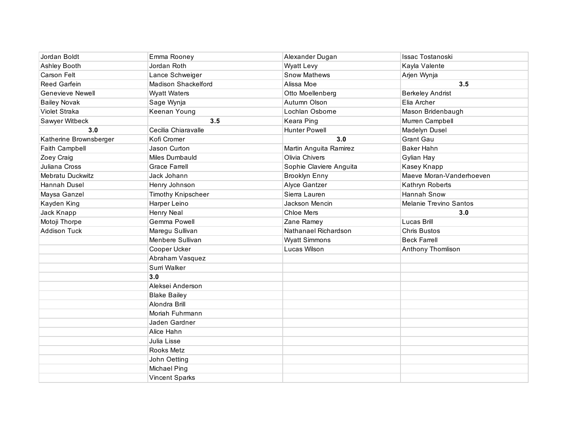| Jordan Boldt            | Emma Rooney               | Alexander Dugan         | Issac Tostanoski         |
|-------------------------|---------------------------|-------------------------|--------------------------|
| Ashley Booth            | Jordan Roth               | <b>Wyatt Levy</b>       | Kayla Valente            |
| Carson Felt             | Lance Schweiger           | <b>Snow Mathews</b>     | Arjen Wynja              |
| <b>Reed Garfein</b>     | Madison Shackelford       | Alissa Moe              | 3.5                      |
| <b>Genevieve Newell</b> | <b>Wyatt Waters</b>       | Otto Moellenberg        | <b>Berkeley Andrist</b>  |
| <b>Bailey Novak</b>     | Sage Wynja                | Autumn Olson            | Elia Archer              |
| Violet Straka           | Keenan Young              | Lochlan Osborne         | Mason Bridenbaugh        |
| Sawyer Witbeck          | 3.5                       | Keara Ping              | Murren Campbell          |
| 3.0                     | Cecilia Chiaravalle       | <b>Hunter Powell</b>    | Madelyn Dusel            |
| Katherine Brownsberger  | Kofi Cromer               | 3.0                     | <b>Grant Gau</b>         |
| Faith Campbell          | Jason Curton              | Martin Anguita Ramirez  | <b>Baker Hahn</b>        |
| Zoey Craig              | Miles Dumbauld            | Olivia Chivers          | Gylian Hay               |
| Juliana Cross           | <b>Grace Farrell</b>      | Sophie Claviere Anguita | Kasey Knapp              |
| Mebratu Duckwitz        | Jack Johann               | <b>Brooklyn Enny</b>    | Maeve Moran-Vanderhoeven |
| Hannah Dusel            | Henry Johnson             | <b>Alyce Gantzer</b>    | Kathryn Roberts          |
| Maysa Ganzel            | <b>Timothy Knipscheer</b> | Sierra Lauren           | Hannah Snow              |
| Kayden King             | Harper Leino              | Jackson Mencin          | Melanie Trevino Santos   |
| Jack Knapp              | <b>Henry Neal</b>         | <b>Chloe Mers</b>       | 3.0                      |
| Motoji Thorpe           | Gemma Powell              | Zane Ramey              | Lucas Brill              |
| <b>Addison Tuck</b>     | Maregu Sullivan           | Nathanael Richardson    | <b>Chris Bustos</b>      |
|                         | Menbere Sullivan          | <b>Wyatt Simmons</b>    | <b>Beck Farrell</b>      |
|                         | Cooper Ucker              | Lucas Wilson            | Anthony Thomlison        |
|                         | Abraham Vasquez           |                         |                          |
|                         | Surri Walker              |                         |                          |
|                         | 3.0                       |                         |                          |
|                         | Aleksei Anderson          |                         |                          |
|                         | <b>Blake Bailey</b>       |                         |                          |
|                         | Alondra Brill             |                         |                          |
|                         | Moriah Fuhrmann           |                         |                          |
|                         | Jaden Gardner             |                         |                          |
|                         | Alice Hahn                |                         |                          |
|                         | Julia Lisse               |                         |                          |
|                         | Rooks Metz                |                         |                          |
|                         | John Oetting              |                         |                          |
|                         | Michael Ping              |                         |                          |
|                         | <b>Vincent Sparks</b>     |                         |                          |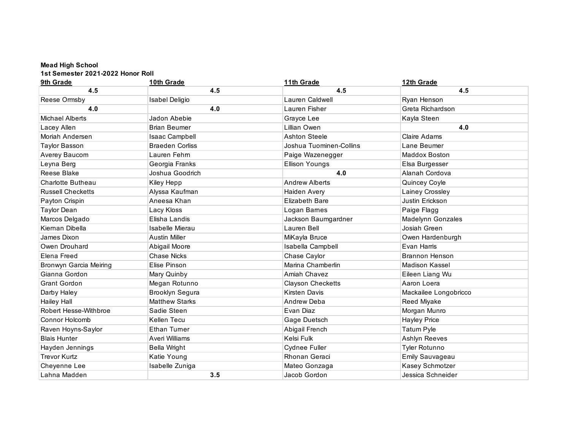#### **Mead High School 1st Semester 2021-2022 Honor Roll**

| 9th Grade                | 10th Grade             | 11th Grade               | 12th Grade            |
|--------------------------|------------------------|--------------------------|-----------------------|
| 4.5                      | 4.5                    | 4.5                      | 4.5                   |
| Reese Ormsby             | <b>Isabel Deligio</b>  | Lauren Caldwell          | Ryan Henson           |
| 4.0                      | 4.0                    | Lauren Fisher            | Greta Richardson      |
| <b>Michael Alberts</b>   | Jadon Abebie           | Grayce Lee               | Kayla Steen           |
| Lacey Allen              | <b>Brian Beumer</b>    | Lillian Owen             | 4.0                   |
| Moriah Andersen          | <b>Isaac Campbell</b>  | Ashton Steele            | Claire Adams          |
| <b>Taylor Basson</b>     | <b>Braeden Corliss</b> | Joshua Tuominen-Collins  | Lane Beumer           |
| Averey Baucom            | Lauren Fehrn           | Paige Wazenegger         | <b>Maddox Boston</b>  |
| Leyna Berg               | Georgia Franks         | Ellison Youngs           | Elsa Burgesser        |
| <b>Reese Blake</b>       | Joshua Goodrich        | 4.0                      | Alanah Cordova        |
| <b>Charlotte Butheau</b> | Kiley Hepp             | <b>Andrew Alberts</b>    | Quincey Coyle         |
| <b>Russell Checketts</b> | Alyssa Kaufman         | Haiden Avery             | Lainey Crossley       |
| Payton Crispin           | Aneesa Khan            | Elizabeth Bare           | Justin Erickson       |
| <b>Taylor Dean</b>       | Lacy Kloss             | Logan Barnes             | Paige Flagg           |
| Marcos Delgado           | Elisha Landis          | Jackson Baumgardner      | Madelynn Gonzales     |
| Kiernan Dibella          | Isabelle Mierau        | Lauren Bell              | Josiah Green          |
| James Dixon              | <b>Austin Miller</b>   | MiKayla Bruce            | Owen Hardenburgh      |
| Owen Drouhard            | Abigail Moore          | Isabella Campbell        | Evan Harris           |
| Elena Freed              | <b>Chase Nicks</b>     | Chase Caylor             | <b>Brannon Henson</b> |
| Bronwyn Garcia Meiring   | Elise Pinson           | Marina Chamberlin        | <b>Madison Kassel</b> |
| Gianna Gordon            | Mary Quinby            | Amiah Chavez             | Eileen Liang Wu       |
| <b>Grant Gordon</b>      | Megan Rotunno          | <b>Clayson Checketts</b> | Aaron Loera           |
| Darby Haley              | <b>Brooklyn Segura</b> | <b>Kirsten Davis</b>     | Mackailee Longobricco |
| <b>Hailey Hall</b>       | <b>Matthew Starks</b>  | Andrew Deba              | Reed Miyake           |
| Robert Hesse-Withbroe    | Sadie Steen            | Evan Diaz                | Morgan Munro          |
| Connor Holcomb           | Kellen Tecu            | Gage Duetsch             | <b>Hayley Price</b>   |
| Raven Hoyns-Saylor       | <b>Ethan Turner</b>    | Abigail French           | Tatum Pyle            |
| <b>Blais Hunter</b>      | Averi Williams         | Kelsi Fulk               | Ashlyn Reeves         |
| Hayden Jennings          | <b>Bella Wright</b>    | Cydnee Fuller            | Tyler Rotunno         |
| <b>Trevor Kurtz</b>      | Katie Young            | Rhonan Geraci            | Emily Sauvageau       |
| Cheyenne Lee             | Isabelle Zuniga        | Mateo Gonzaga            | Kasey Schmotzer       |
| Lahna Madden             | 3.5                    | Jacob Gordon             | Jessica Schneider     |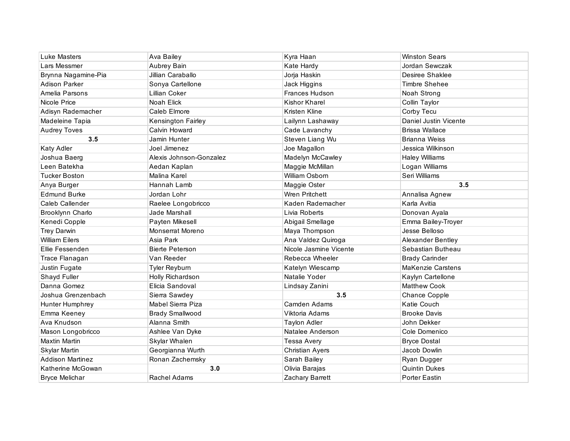| <b>Luke Masters</b>     | Ava Bailey              | Kyra Haan              | <b>Winston Sears</b>     |
|-------------------------|-------------------------|------------------------|--------------------------|
| <b>Lars Messmer</b>     | Aubrey Bain             | Kate Hardy             | Jordan Sewczak           |
| Brynna Nagamine-Pia     | Jillian Caraballo       | Jorja Haskin           | Desiree Shaklee          |
| <b>Adison Parker</b>    | Sonya Cartellone        | Jack Higgins           | <b>Timbre Shehee</b>     |
| Amelia Parsons          | Lillian Coker           | Frances Hudson         | Noah Strong              |
| Nicole Price            | Noah Elick              | <b>Kishor Kharel</b>   | Collin Taylor            |
| Adisyn Rademacher       | Caleb Elmore            | Kristen Kline          | Corby Tecu               |
| Madeleine Tapia         | Kensington Fairley      | Lailynn Lashaway       | Daniel Justin Vicente    |
| <b>Audrey Toves</b>     | Calvin Howard           | Cade Lavanchy          | <b>Brissa Wallace</b>    |
| 3.5                     | Jamin Hunter            | Steven Liang Wu        | <b>Brianna Weiss</b>     |
| Katy Adler              | Joel Jimenez            | Joe Magallon           | Jessica Wilkinson        |
| Joshua Baerg            | Alexis Johnson-Gonzalez | Madelyn McCawley       | Haley Williams           |
| Leen Batekha            | Aedan Kaplan            | Maggie McMillan        | Logan Williams           |
| <b>Tucker Boston</b>    | Malina Karel            | William Osborn         | Seri Williams            |
| Anya Burger             | Hannah Lamb             | Maggie Oster           | 3.5                      |
| <b>Edmund Burke</b>     | Jordan Lohr             | Wren Pritchett         | Annalisa Agnew           |
| <b>Caleb Callender</b>  | Raelee Longobricco      | Kaden Rademacher       | Karla Avitia             |
| Brooklynn Charlo        | Jade Marshall           | Livia Roberts          | Donovan Ayala            |
| Kenedi Copple           | Payten Mikesell         | Abigail Smellage       | Emma Bailey-Troyer       |
| <b>Trey Darwin</b>      | Monserrat Moreno        | Maya Thompson          | Jesse Belloso            |
| <b>William Eilers</b>   | Asia Park               | Ana Valdez Quiroga     | Alexander Bentley        |
| Ellie Fessenden         | <b>Bierte Peterson</b>  | Nicole Jasmine Vicente | Sebastian Butheau        |
| Trace Flanagan          | Van Reeder              | Rebecca Wheeler        | <b>Brady Carinder</b>    |
| Justin Fugate           | Tyler Reyburn           | Katelyn Wiescamp       | <b>MaKenzie Carstens</b> |
| Shayd Fuller            | Holly Richardson        | Natalie Yoder          | Kaylyn Cartellone        |
| Danna Gomez             | Elicia Sandoval         | Lindsay Zanini         | <b>Matthew Cook</b>      |
| Joshua Grenzenbach      | Sierra Sawdey           | 3.5                    | Chance Copple            |
| Hunter Humphrey         | Mabel Sierra Piza       | Camden Adams           | Katie Couch              |
| Emma Keeney             | <b>Brady Smallwood</b>  | Viktoria Adams         | <b>Brooke Davis</b>      |
| Ava Knudson             | Alanna Smith            | <b>Taylon Adler</b>    | John Dekker              |
| Mason Longobricco       | Ashlee Van Dyke         | Natalee Anderson       | Cole Domenico            |
| <b>Maxtin Martin</b>    | Skylar Whalen           | <b>Tessa Avery</b>     | <b>Bryce Dostal</b>      |
| <b>Skylar Martin</b>    | Georgianna Wurth        | <b>Christian Ayers</b> | Jacob Dowlin             |
| <b>Addison Martinez</b> | Ronan Zachemsky         | Sarah Bailey           | Ryan Dugger              |
| Katherine McGowan       | 3.0                     | Olivia Barajas         | <b>Quintin Dukes</b>     |
| <b>Brvce Melichar</b>   | Rachel Adams            | Zachary Barrett        | <b>Porter Eastin</b>     |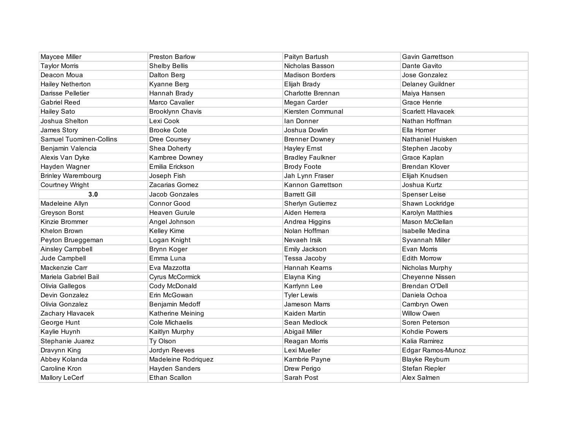| Maycee Miller                  | <b>Preston Barlow</b> | Paityn Bartush          | Gavin Garrettson         |
|--------------------------------|-----------------------|-------------------------|--------------------------|
| <b>Taylor Morris</b>           | <b>Shelby Bellis</b>  | Nicholas Basson         | Dante Gavito             |
| Deacon Moua                    | Dalton Berg           | <b>Madison Borders</b>  | Jose Gonzalez            |
| <b>Hailey Netherton</b>        | Kyanne Berg           | Elijah Brady            | Delaney Guildner         |
| Darisse Pelletier              | Hannah Brady          | Charlotte Brennan       | Maiya Hansen             |
| <b>Gabriel Reed</b>            | Marco Cavalier        | Megan Carder            | Grace Henrie             |
| <b>Hailey Sato</b>             | Brooklynn Chavis      | Kiersten Communal       | <b>Scarlett Hlavacek</b> |
| Joshua Shelton                 | Lexi Cook             | lan Donner              | Nathan Hoffman           |
| James Story                    | <b>Brooke Cote</b>    | Joshua Dowlin           | Ella Horner              |
| <b>Samuel Tuominen-Collins</b> | Dree Coursey          | <b>Brenner Downey</b>   | Nathaniel Huisken        |
| Benjamin Valencia              | Shea Doherty          | Hayley Ernst            | Stephen Jacoby           |
| Alexis Van Dyke                | Kambree Downey        | <b>Bradley Faulkner</b> | Grace Kaplan             |
| Hayden Wagner                  | Emilia Erickson       | <b>Brody Foote</b>      | <b>Brendan Klover</b>    |
| <b>Brinley Warembourg</b>      | Joseph Fish           | Jah Lynn Fraser         | Elijah Knudsen           |
| <b>Courtney Wright</b>         | Zacarias Gomez        | Kannon Garrettson       | Joshua Kurtz             |
| 3.0                            | Jacob Gonzales        | <b>Barrett Gill</b>     | Spenser Leise            |
| Madeleine Allyn                | Connor Good           | Sherlyn Gutierrez       | Shawn Lockridge          |
| Greyson Borst                  | Heaven Gurule         | Aiden Herrera           | Karolyn Matthies         |
| Kinzie Brommer                 | Angel Johnson         | Andrea Higgins          | Mason McClellan          |
| Khelon Brown                   | Kelley Kime           | Nolan Hoffman           | Isabelle Medina          |
| Peyton Brueggeman              | Logan Knight          | Nevaeh Irsik            | Syvannah Miller          |
| Ainsley Campbell               | Brynn Koger           | Emily Jackson           | Evan Morris              |
| Jude Campbell                  | Emma Luna             | Tessa Jacoby            | <b>Edith Morrow</b>      |
| Mackenzie Carr                 | Eva Mazzotta          | Hannah Keams            | Nicholas Murphy          |
| Mariela Gabriel Bail           | Cyrus McCormick       | Elayna King             | Cheyenne Nissen          |
| Olivia Gallegos                | Cody McDonald         | Karrlynn Lee            | Brendan O'Dell           |
| Devin Gonzalez                 | Erin McGowan          | <b>Tyler Lewis</b>      | Daniela Ochoa            |
| Olivia Gonzalez                | Benjamin Medoff       | Jameson Marrs           | Cambryn Owen             |
| Zachary Hlavacek               | Katherine Meining     | Kaiden Martin           | <b>Willow Owen</b>       |
| George Hunt                    | Cole Michaelis        | Sean Medlock            | Soren Peterson           |
| Kaylie Huynh                   | Kaitlyn Murphy        | Abigail Miller          | Kohdie Powers            |
| Stephanie Juarez               | Ty Olson              | Reagan Morris           | Kalia Ramirez            |
| Dravynn King                   | Jordyn Reeves         | Lexi Mueller            | Edgar Ramos-Munoz        |
| Abbey Kolanda                  | Madeleine Rodriquez   | Kambrie Payne           | Blayke Reyburn           |
| Caroline Kron                  | <b>Hayden Sanders</b> | Drew Perigo             | Stefan Riepler           |
| Mallory LeCerf                 | Ethan Scallon         | Sarah Post              | Alex Salmen              |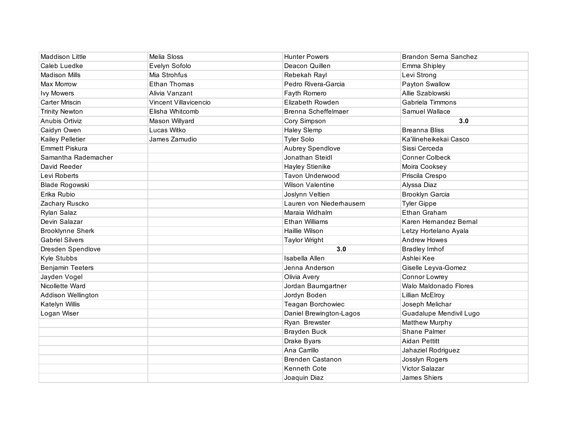| <b>Maddison Little</b>  | Melia Sloss           | <b>Hunter Powers</b>     | <b>Brandon Serna Sanchez</b> |
|-------------------------|-----------------------|--------------------------|------------------------------|
| Caleb Luedke            | Evelyn Sofolo         | Deacon Quillen           | Emma Shipley                 |
| <b>Madison Mills</b>    | Mia Strohfus          | Rebekah Rayl             | Levi Strong                  |
| <b>Max Morrow</b>       | Ethan Thomas          | Pedro Rivera-Garcia      | Payton Swallow               |
| <b>Ivy Mowers</b>       | Alivia Vanzant        | Fayth Romero             | Allie Szablowski             |
| <b>Carter Mriscin</b>   | Vincent Villavicencio | Elizabeth Rowden         | Gabriela Timmons             |
| <b>Trinity Newton</b>   | Elisha Whitcomb       | Brenna Scheffelmaer      | Samuel Wallace               |
| Anubis Ortiviz          | Mason Willyard        | Cory Simpson             | 3.0                          |
| Caidyn Owen             | Lucas Witko           | <b>Haley Slemp</b>       | <b>Breanna Bliss</b>         |
| Kailey Pelletier        | James Zamudio         | <b>Tyler Solo</b>        | Ka'ilineheikekai Casco       |
| <b>Emmett Piskura</b>   |                       | Aubrey Spendlove         | Sissi Cerceda                |
| Samantha Rademacher     |                       | Jonathan Steidl          | <b>Conner Colbeck</b>        |
| David Reeder            |                       | <b>Hayley Stienike</b>   | Moira Cooksey                |
| Levi Roberts            |                       | <b>Tavon Underwood</b>   | Priscila Crespo              |
| <b>Blade Rogowski</b>   |                       | <b>Wilson Valentine</b>  | Alyssa Diaz                  |
| Erika Rubio             |                       | Joslynn Veltien          | <b>Brooklyn Garcia</b>       |
| Zachary Ruscko          |                       | Lauren von Niederhausern | <b>Tyler Gippe</b>           |
| Rylan Salaz             |                       | Maraia Widhalm           | Ethan Graham                 |
| Devin Salazar           |                       | <b>Ethan Williams</b>    | Karen Hernandez Bernal       |
| <b>Brooklynne Sherk</b> |                       | Haillie Wilson           | Letzy Hortelano Ayala        |
| <b>Gabriel Silvers</b>  |                       | <b>Taylor Wright</b>     | <b>Andrew Howes</b>          |
| Dresden Spendlove       |                       | 3.0                      | <b>Bradley Imhof</b>         |
| Kyle Stubbs             |                       | Isabella Allen           | Ashlei Kee                   |
| <b>Benjamin Teeters</b> |                       | Jenna Anderson           | Giselle Leyva-Gomez          |
| Jayden Vogel            |                       | Olivia Avery             | Connor Lowrey                |
| Nicollette Ward         |                       | Jordan Baumgartner       | Walo Maldonado Flores        |
| Addison Wellington      |                       | Jordyn Boden             | Lillian McElroy              |
| Katelyn Willis          |                       | Teagan Borchowiec        | Joseph Melichar              |
| Logan Wiser             |                       | Daniel Brewington-Lagos  | Guadalupe Mendivil Lugo      |
|                         |                       | Ryan Brewster            | <b>Matthew Murphy</b>        |
|                         |                       | <b>Brayden Buck</b>      | <b>Shane Palmer</b>          |
|                         |                       | Drake Byars              | Aidan Pettitt                |
|                         |                       | Ana Carrillo             | Jahaziel Rodriguez           |
|                         |                       | <b>Brenden Castanon</b>  | Josslyn Rogers               |
|                         |                       | <b>Kenneth Cote</b>      | Victor Salazar               |
|                         |                       | Joaquin Diaz             | James Shiers                 |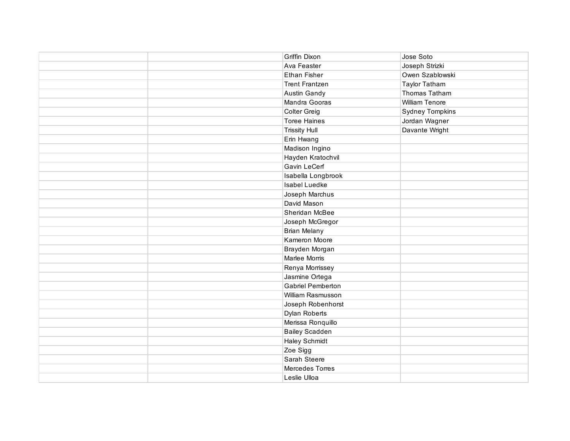|  | Griffin Dixon            | Jose Soto              |
|--|--------------------------|------------------------|
|  | Ava Feaster              | Joseph Strizki         |
|  | Ethan Fisher             | Owen Szablowski        |
|  | <b>Trent Frantzen</b>    | <b>Taylor Tatham</b>   |
|  | Austin Gandy             | <b>Thomas Tatham</b>   |
|  | Mandra Gooras            | <b>William Tenore</b>  |
|  | <b>Colter Greig</b>      | <b>Sydney Tompkins</b> |
|  | <b>Toree Haines</b>      | Jordan Wagner          |
|  | <b>Trissity Hull</b>     | Davante Wright         |
|  | Erin Hwang               |                        |
|  | Madison Ingino           |                        |
|  | Hayden Kratochvil        |                        |
|  | Gavin LeCerf             |                        |
|  | Isabella Longbrook       |                        |
|  | <b>Isabel Luedke</b>     |                        |
|  | Joseph Marchus           |                        |
|  | David Mason              |                        |
|  | Sheridan McBee           |                        |
|  | Joseph McGregor          |                        |
|  | <b>Brian Melany</b>      |                        |
|  | Kameron Moore            |                        |
|  | Brayden Morgan           |                        |
|  | Marlee Morris            |                        |
|  | Renya Morrissey          |                        |
|  | Jasmine Ortega           |                        |
|  | <b>Gabriel Pemberton</b> |                        |
|  | William Rasmusson        |                        |
|  | Joseph Robenhorst        |                        |
|  | Dylan Roberts            |                        |
|  | Merissa Ronquillo        |                        |
|  | <b>Bailey Scadden</b>    |                        |
|  | Haley Schmidt            |                        |
|  | Zoe Sigg                 |                        |
|  | Sarah Steere             |                        |
|  | Mercedes Torres          |                        |
|  | Leslie Ulloa             |                        |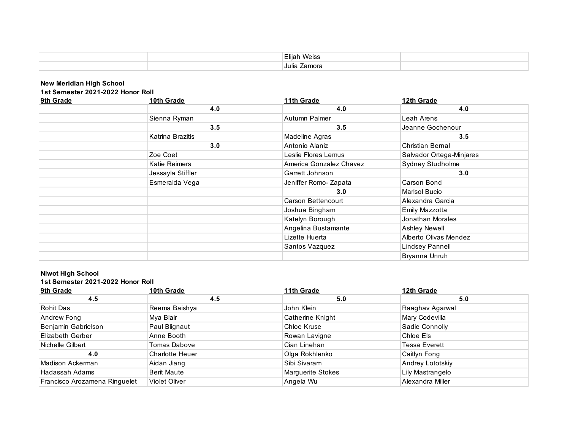| .<br>Eliiah<br>Weiss |  |
|----------------------|--|
| Julia<br>≤amora      |  |

## **New Meridian High School**

# **1st Semester 2021-2022 Honor Roll**

| 9th Grade | 10th Grade        | 11th Grade              | 12th Grade               |
|-----------|-------------------|-------------------------|--------------------------|
|           | 4.0               | 4.0                     | 4.0                      |
|           | Sienna Ryman      | Autumn Palmer           | Leah Arens               |
|           | 3.5               | 3.5                     | Jeanne Gochenour         |
|           | Katrina Brazitis  | Madeline Agras          | 3.5                      |
|           | 3.0               | Antonio Alaniz          | Christian Bernal         |
|           | Zoe Coet          | Leslie Flores Lemus     | Salvador Ortega-Minjares |
|           | Katie Reimers     | America Gonzalez Chavez | <b>Sydney Studholme</b>  |
|           | Jessayla Stiffler | Garrett Johnson         | 3.0                      |
|           | Esmeralda Vega    | Jeniffer Romo-Zapata    | Carson Bond              |
|           |                   | 3.0                     | Marisol Bucio            |
|           |                   | Carson Bettencourt      | Alexandra Garcia         |
|           |                   | Joshua Bingham          | <b>Emily Mazzotta</b>    |
|           |                   | Katelyn Borough         | Jonathan Morales         |
|           |                   | Angelina Bustamante     | <b>Ashley Newell</b>     |
|           |                   | Lizette Huerta          | Alberto Olivas Mendez    |
|           |                   | Santos Vazquez          | <b>Lindsey Pannell</b>   |
|           |                   |                         | Bryanna Unruh            |

## **Niwot High School 1st Semester 2021-2022 Honor Roll**

| 9th Grade                     | 10th Grade         | 11th Grade        | 12th Grade           |
|-------------------------------|--------------------|-------------------|----------------------|
| 4.5                           | 4.5                | 5.0               | 5.0                  |
| <b>Rohit Das</b>              | Reema Baishya      | John Klein        | Raaghav Agarwal      |
| Andrew Fong                   | Mya Blair          | Catherine Knight  | Mary Codevilla       |
| Benjamin Gabrielson           | Paul Blignaut      | Chloe Kruse       | Sadie Connolly       |
| <b>Elizabeth Gerber</b>       | Anne Booth         | Rowan Lavigne     | Chloe Els            |
| Nichelle Gilbert              | Tomas Dabove       | Cian Linehan      | <b>Tessa Everett</b> |
| 4.0                           | Charlotte Heuer    | Olga Rokhlenko    | Caitlyn Fong         |
| Madison Ackerman              | Aidan Jiang        | Sibi Sivaram      | Andrey Lototskiy     |
| Hadassah Adams                | <b>Berit Maute</b> | Marguerite Stokes | Lily Mastrangelo     |
| Francisco Arozamena Ringuelet | Violet Oliver      | Angela Wu         | Alexandra Miller     |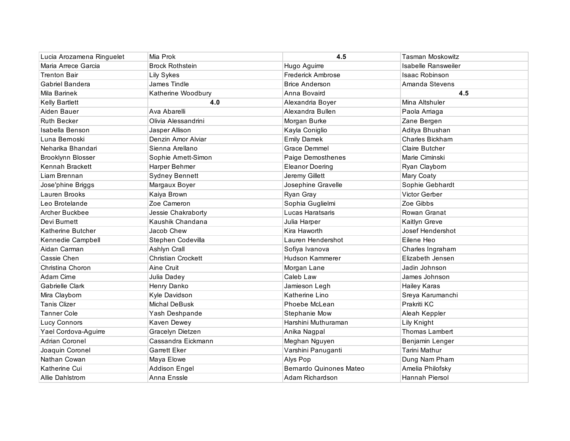| Lucia Arozamena Ringuelet | Mia Prok                  | 4.5                            | Tasman Moskowitz       |
|---------------------------|---------------------------|--------------------------------|------------------------|
| Maria Arrece Garcia       | <b>Brock Rothstein</b>    | Hugo Aguirre                   | Isabelle Ransweiler    |
| <b>Trenton Bair</b>       | <b>Lily Sykes</b>         | <b>Frederick Ambrose</b>       | <b>Isaac Robinson</b>  |
| Gabriel Bandera           | James Tindle              | <b>Brice Anderson</b>          | Amanda Stevens         |
| Mila Barinek              | Katherine Woodbury        | Anna Bovaird                   | 4.5                    |
| <b>Kelly Bartlett</b>     | 4.0                       | Alexandria Boyer               | Mina Altshuler         |
| Aiden Bauer               | Ava Abarelli              | Alexandra Bullen               | Paola Arriaga          |
| <b>Ruth Becker</b>        | Olivia Alessandrini       | Morgan Burke                   | Zane Bergen            |
| Isabella Benson           | Jasper Allison            | Kayla Coniglio                 | Aditya Bhushan         |
| Luna Bernoski             | Denzin Amor Alviar        | <b>Emily Damek</b>             | <b>Charles Bickham</b> |
| Neharika Bhandari         | Sienna Arellano           | Grace Demmel                   | Claire Butcher         |
| Brooklynn Blosser         | Sophie Arnett-Simon       | Paige Demosthenes              | Marie Ciminski         |
| Kennah Brackett           | Harper Behmer             | <b>Eleanor Doering</b>         | Ryan Clayborn          |
| Liam Brennan              | <b>Sydney Bennett</b>     | Jeremy Gillett                 | Mary Coaty             |
| Jose'phine Briggs         | Margaux Boyer             | Josephine Gravelle             | Sophie Gebhardt        |
| Lauren Brooks             | Kaiya Brown               | Ryan Gray                      | Victor Gerber          |
| Leo Brotelande            | Zoe Cameron               | Sophia Guglielmi               | Zoe Gibbs              |
| Archer Buckbee            | Jessie Chakraborty        | Lucas Haratsaris               | Rowan Granat           |
| Devi Burnett              | Kaushik Chandana          | Julia Harper                   | Kaitlyn Greve          |
| Katherine Butcher         | Jacob Chew                | Kira Haworth                   | Josef Hendershot       |
| Kennedie Campbell         | Stephen Codevilla         | Lauren Hendershot              | Eilene Heo             |
| Aidan Carman              | Ashlyn Crall              | Sofiya Ivanova                 | Charles Ingraham       |
| Cassie Chen               | <b>Christian Crockett</b> | Hudson Kammerer                | Elizabeth Jensen       |
| Christina Choron          | Aine Cruit                | Morgan Lane                    | Jadin Johnson          |
| Adam Cirne                | Julia Dadey               | Caleb Law                      | James Johnson          |
| Gabrielle Clark           | Henry Danko               | Jamieson Legh                  | Hailey Karas           |
| Mira Clayborn             | Kyle Davidson             | Katherine Lino                 | Sreya Karumanchi       |
| <b>Tanis Clizer</b>       | <b>Michal DeBusk</b>      | Phoebe McLean                  | Prakriti KC            |
| <b>Tanner Cole</b>        | Yash Deshpande            | Stephanie Mow                  | Aleah Keppler          |
| <b>Lucy Connors</b>       | Kaven Dewey               | Harshini Muthuraman            | Lily Knight            |
| Yael Cordova-Aguirre      | Gracelyn Dietzen          | Anika Nagpal                   | <b>Thomas Lambert</b>  |
| Adrian Coronel            | Cassandra Eickmann        | Meghan Nguyen                  | Benjamin Lenger        |
| Joaquin Coronel           | <b>Garrett Eker</b>       | Varshini Panuganti             | Tarini Mathur          |
| Nathan Cowan              | Maya Elowe                | Alys Pop                       | Dung Nam Pham          |
| Katherine Cui             | <b>Addison Engel</b>      | <b>Bernardo Quinones Mateo</b> | Amelia Philofsky       |
| Allie Dahlstrom           | Anna Enssle               | Adam Richardson                | Hannah Piersol         |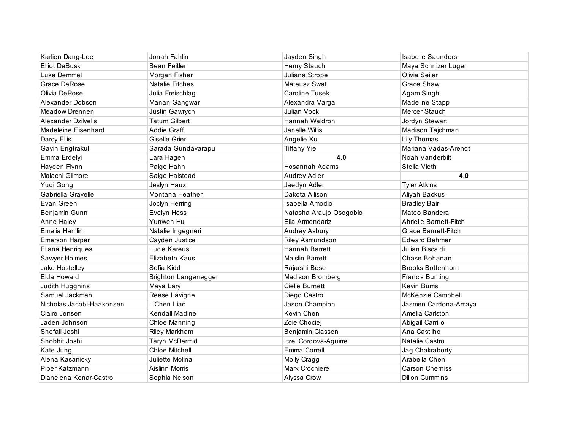| Karlien Dang-Lee          | Jonah Fahlin          | Jayden Singh            | <b>Isabelle Saunders</b>   |
|---------------------------|-----------------------|-------------------------|----------------------------|
| <b>Elliot DeBusk</b>      | <b>Bean Feitler</b>   | Henry Stauch            | Maya Schnizer Luger        |
| Luke Demmel               | Morgan Fisher         | Juliana Strope          | Olivia Seiler              |
| Grace DeRose              | Natalie Fitches       | Mateusz Swat            | Grace Shaw                 |
| Olivia DeRose             | Julia Freischlag      | Caroline Tusek          | Agam Singh                 |
| Alexander Dobson          | Manan Gangwar         | Alexandra Varga         | Madeline Stapp             |
| <b>Meadow Drennen</b>     | Justin Gawrych        | Julian Vock             | Mercer Stauch              |
| Alexander Dzilvelis       | <b>Tatum Gilbert</b>  | Hannah Waldron          | Jordyn Stewart             |
| Madeleine Eisenhard       | Addie Graff           | Janelle Willis          | Madison Tajchman           |
| Darcy Ellis               | Giselle Grier         | Angelie Xu              | <b>Lily Thomas</b>         |
| Gavin Engtrakul           | Sarada Gundavarapu    | <b>Tiffany Yie</b>      | Mariana Vadas-Arendt       |
| Emma Erdelyi              | Lara Hagen            | 4.0                     | Noah Vanderbilt            |
| Hayden Flynn              | Paige Hahn            | Hosannah Adams          | Stella Vieth               |
| Malachi Gilmore           | Saige Halstead        | Audrey Adler            | 4.0                        |
| Yuqi Gong                 | Jeslyn Haux           | Jaedyn Adler            | <b>Tyler Atkins</b>        |
| Gabriella Gravelle        | Montana Heather       | Dakota Allison          | Aliyah Backus              |
| Evan Green                | Joclyn Herring        | Isabella Amodio         | <b>Bradley Bair</b>        |
| Benjamin Gunn             | Evelyn Hess           | Natasha Araujo Osogobio | Mateo Bandera              |
| Anne Haley                | Yunwen Hu             | Ella Armendariz         | Ahrielle Barnett-Fitch     |
| Emelia Hamlin             | Natalie Ingegneri     | Audrey Asbury           | <b>Grace Barnett-Fitch</b> |
| <b>Emerson Harper</b>     | Cayden Justice        | Riley Asmundson         | <b>Edward Behmer</b>       |
| Eliana Henriques          | Lucie Kareus          | Hannah Barrett          | Julian Biscaldi            |
| Sawyer Holmes             | Elizabeth Kaus        | <b>Maislin Barrett</b>  | Chase Bohanan              |
| Jake Hostelley            | Sofia Kidd            | Rajarshi Bose           | <b>Brooks Bottenhorn</b>   |
| Elda Howard               | Brighton Langenegger  | Madison Bromberg        | <b>Francis Bunting</b>     |
| Judith Hugghins           | Maya Lary             | Cielle Burnett          | <b>Kevin Burris</b>        |
| Samuel Jackman            | Reese Lavigne         | Diego Castro            | McKenzie Campbell          |
| Nicholas Jacobi-Haakonsen | LiChen Liao           | Jason Champion          | Jasmen Cardona-Amaya       |
| Claire Jensen             | Kendall Madine        | Kevin Chen              | Amelia Carlston            |
| Jaden Johnson             | Chloe Manning         | Zoie Chociej            | Abigail Carrillo           |
| Shefali Joshi             | Riley Markham         | Benjamin Classen        | Ana Castilho               |
| Shobhit Joshi             | Taryn McDermid        | Itzel Cordova-Aguirre   | Natalie Castro             |
| Kate Jung                 | <b>Chloe Mitchell</b> | Emma Correll            | Jag Chakraborty            |
| Alena Kasanicky           | Juliette Molina       | Molly Cragg             | Arabella Chen              |
| Piper Katzmann            | Aislinn Morris        | Mark Crochiere          | Carson Cherniss            |
| Dianelena Kenar-Castro    | Sophia Nelson         | Alyssa Crow             | <b>Dillon Cummins</b>      |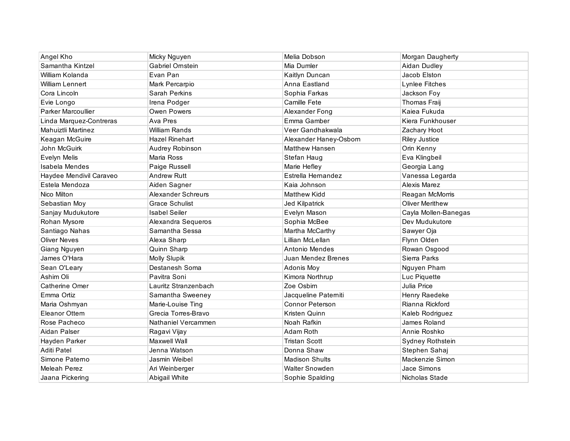| Angel Kho               | Micky Nguyen              | Melia Dobson           | Morgan Daugherty       |
|-------------------------|---------------------------|------------------------|------------------------|
| Samantha Kintzel        | Gabriel Ornstein          | Mia Dumler             | Aidan Dudley           |
| William Kolanda         | Evan Pan                  | Kaitlyn Duncan         | Jacob Elston           |
| <b>William Lennert</b>  | Mark Percarpio            | Anna Eastland          | Lynlee Fitches         |
| Cora Lincoln            | <b>Sarah Perkins</b>      | Sophia Farkas          | Jackson Foy            |
| Evie Longo              | Irena Podger              | Camille Fete           | Thomas Fraij           |
| Parker Marcoullier      | Owen Powers               | Alexander Fong         | Kaiea Fukuda           |
| Linda Marquez-Contreras | Ava Pres                  | Emma Gamber            | Kiera Funkhouser       |
| Mahuiztli Martinez      | <b>William Rands</b>      | Veer Gandhakwala       | Zachary Hoot           |
| Keagan McGuire          | Hazel Rinehart            | Alexander Haney-Osborn | <b>Riley Justice</b>   |
| John McGuirk            | Audrey Robinson           | <b>Matthew Hansen</b>  | Orin Kenny             |
| Evelyn Melis            | Maria Ross                | Stefan Haug            | Eva Klingbeil          |
| Isabela Mendes          | Paige Russell             | Marie Hefley           | Georgia Lang           |
| Haydee Mendivil Caraveo | Andrew Rutt               | Estrella Hernandez     | Vanessa Legarda        |
| Estela Mendoza          | Aiden Sagner              | Kaia Johnson           | Alexis Marez           |
| Nico Milton             | <b>Alexander Schreurs</b> | <b>Matthew Kidd</b>    | Reagan McMorris        |
| Sebastian Moy           | <b>Grace Schulist</b>     | Jed Kilpatrick         | <b>Oliver Merithew</b> |
| Sanjay Mudukutore       | <b>Isabel Seiler</b>      | Evelyn Mason           | Cayla Mollen-Banegas   |
| Rohan Mysore            | Alexandra Sequeros        | Sophia McBee           | Dev Mudukutore         |
| Santiago Nahas          | Samantha Sessa            | Martha McCarthy        | Sawyer Oja             |
| <b>Oliver Neves</b>     | Alexa Sharp               | Lillian McLellan       | Flynn Olden            |
| Giang Nguyen            | Quinn Sharp               | Antonio Mendes         | Rowan Osgood           |
| James O'Hara            | <b>Molly Slupik</b>       | Juan Mendez Brenes     | Sierra Parks           |
| Sean O'Leary            | Destanesh Soma            | Adonis Moy             | Nguyen Pham            |
| Ashim Oli               | Pavitra Soni              | Kimora Northrup        | Luc Piquette           |
| <b>Catherine Omer</b>   | Lauritz Stranzenbach      | Zoe Osbirn             | Julia Price            |
| Emma Ortiz              | Samantha Sweeney          | Jacqueline Paterniti   | Henry Raedeke          |
| Maria Oshmyan           | Marie-Louise Ting         | <b>Connor Peterson</b> | Rianna Rickford        |
| <b>Eleanor Ottem</b>    | Grecia Torres-Bravo       | Kristen Quinn          | Kaleb Rodriguez        |
| Rose Pacheco            | Nathaniel Vercammen       | Noah Rafkin            | James Roland           |
| Aidan Palser            | Ragavi Vijay              | Adam Roth              | Annie Roshko           |
| Hayden Parker           | Maxwell Wall              | <b>Tristan Scott</b>   | Sydney Rothstein       |
| <b>Aditi Patel</b>      | Jenna Watson              | Donna Shaw             | Stephen Sahaj          |
| Simone Paterno          | Jasmin Weibel             | <b>Madison Shults</b>  | Mackenzie Simon        |
| <b>Meleah Perez</b>     | Ari Weinberger            | <b>Walter Snowden</b>  | Jace Simons            |
| Jaana Pickering         | Abigail White             | Sophie Spalding        | Nicholas Stade         |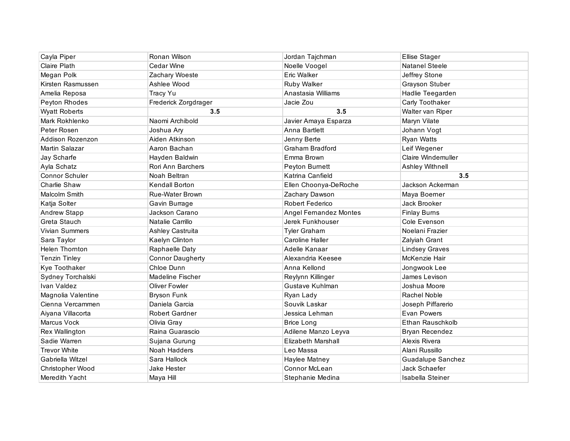| Cayla Piper           | Ronan Wilson            | Jordan Tajchman               | <b>Ellise Stager</b>    |
|-----------------------|-------------------------|-------------------------------|-------------------------|
| <b>Claire Plath</b>   | <b>Cedar Wine</b>       | Noelle Voogel                 | <b>Natanel Steele</b>   |
| Megan Polk            | Zachary Woeste          | Eric Walker                   | Jeffrey Stone           |
| Kirsten Rasmussen     | Ashlee Wood             | Ruby Walker                   | Grayson Stuber          |
| Amelia Reposa         | Tracy Yu                | Anastasia Williams            | Hadlie Teegarden        |
| Peyton Rhodes         | Frederick Zorgdrager    | Jacie Zou                     | Carly Toothaker         |
| <b>Wyatt Roberts</b>  | 3.5                     | 3.5                           | Walter van Riper        |
| Mark Rokhlenko        | Naomi Archibold         | Javier Amaya Esparza          | Maryn Vilate            |
| Peter Rosen           | Joshua Ary              | Anna Bartlett                 | Johann Vogt             |
| Addison Rozenzon      | Aiden Atkinson          | Jenny Berte                   | <b>Ryan Watts</b>       |
| Martin Salazar        | Aaron Bachan            | <b>Graham Bradford</b>        | Leif Wegener            |
| Jay Scharfe           | Hayden Baldwin          | Emma Brown                    | Claire Windemuller      |
| Ayla Schatz           | Rori Ann Barchers       | Peyton Burnett                | Ashley Withnell         |
| Connor Schuler        | Noah Beltran            | Katrina Canfield              | 3.5                     |
| Charlie Shaw          | Kendall Borton          | Ellen Choonya-DeRoche         | Jackson Ackerman        |
| <b>Malcolm Smith</b>  | Rue-Water Brown         | Zachary Dawson                | Maya Boemer             |
| Katja Solter          | Gavin Burrage           | Robert Federico               | Jack Brooker            |
| Andrew Stapp          | Jackson Carano          | <b>Angel Fernandez Montes</b> | <b>Finlay Burns</b>     |
| Greta Stauch          | Natalie Carrillo        | Jerek Funkhouser              | Cole Evenson            |
| <b>Vivian Summers</b> | Ashley Castruita        | <b>Tyler Graham</b>           | Noelani Frazier         |
| Sara Taylor           | Kaelyn Clinton          | Caroline Haller               | Zalyiah Grant           |
| Helen Thornton        | Raphaelle Daty          | Adelle Kanaar                 | <b>Lindsey Graves</b>   |
| <b>Tenzin Tinley</b>  | <b>Connor Daugherty</b> | Alexandria Keesee             | McKenzie Hair           |
| Kye Toothaker         | Chloe Dunn              | Anna Kellond                  | Jongwook Lee            |
| Sydney Torchalski     | Madeline Fischer        | Reylynn Killinger             | James Levison           |
| Ivan Valdez           | Oliver Fowler           | Gustave Kuhlman               | Joshua Moore            |
| Magnolia Valentine    | <b>Bryson Funk</b>      | Ryan Lady                     | Rachel Noble            |
| Cienna Vercammen      | Daniela Garcia          | Souvik Laskar                 | Joseph Piffarerio       |
| Aiyana Villacorta     | Robert Gardner          | Jessica Lehman                | Evan Powers             |
| <b>Marcus Vock</b>    | Olivia Gray             | <b>Brice Long</b>             | Ethan Rauschkolb        |
| Rex Wallington        | Raina Guarascio         | Adilene Manzo Leyva           | <b>Bryan Recendez</b>   |
| Sadie Warren          | Sujana Gurung           | <b>Elizabeth Marshall</b>     | Alexis Rivera           |
| <b>Trevor White</b>   | Noah Hadders            | Leo Massa                     | Alani Russillo          |
| Gabriella Witzel      | Sara Hallock            | Haylee Matney                 | Guadalupe Sanchez       |
| Christopher Wood      | Jake Hester             | Connor McLean                 | Jack Schaefer           |
| Meredith Yacht        | Maya Hill               | Stephanie Medina              | <b>Isabella Steiner</b> |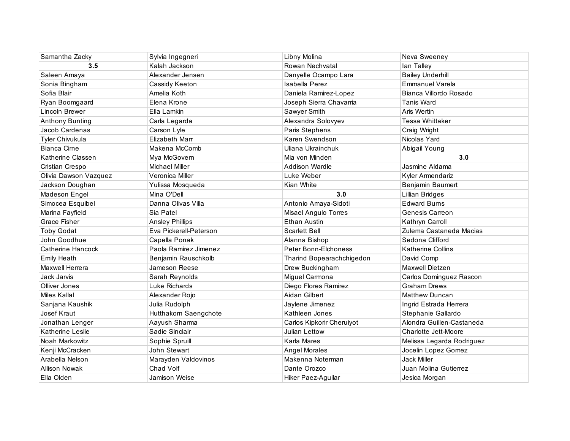| Samantha Zacky          | Sylvia Ingegneri       | Libny Molina              | Neva Sweeney              |
|-------------------------|------------------------|---------------------------|---------------------------|
| 3.5                     | Kalah Jackson          | Rowan Nechvatal           | lan Talley                |
| Saleen Amaya            | Alexander Jensen       | Danyelle Ocampo Lara      | <b>Bailey Underhill</b>   |
| Sonia Bingham           | Cassidy Keeton         | Isabella Perez            | <b>Emmanuel Varela</b>    |
| Sofia Blair             | Amelia Koth            | Daniela Ramirez-Lopez     | Bianca Villordo Rosado    |
| Ryan Boomgaard          | Elena Krone            | Joseph Sierra Chavarria   | <b>Tanis Ward</b>         |
| Lincoln Brewer          | Ella Lamkin            | Sawyer Smith              | Aris Wertin               |
| <b>Anthony Bunting</b>  | Carla Legarda          | Alexandra Solovyev        | <b>Tessa Whittaker</b>    |
| Jacob Cardenas          | Carson Lyle            | Paris Stephens            | Craig Wright              |
| Tyler Chivukula         | Elizabeth Marr         | Karen Swendson            | Nicolas Yard              |
| <b>Bianca Cirne</b>     | Makena McComb          | Uliana Ukrainchuk         | Abigail Young             |
| Katherine Classen       | Mya McGovern           | Mia von Minden            | 3.0                       |
| Cristian Crespo         | <b>Michael Miller</b>  | <b>Addison Wardle</b>     | Jasmine Aldama            |
| Olivia Dawson Vazquez   | Veronica Miller        | Luke Weber                | Kyler Armendariz          |
| Jackson Doughan         | Yulissa Mosqueda       | Kian White                | Benjamin Baumert          |
| Madeson Engel           | Mina O'Dell            | 3.0                       | Lillian Bridges           |
| Simocea Esquibel        | Danna Olivas Villa     | Antonio Amaya-Sidoti      | <b>Edward Burns</b>       |
| Marina Fayfield         | Sia Patel              | Misael Angulo Torres      | Genesis Carreon           |
| <b>Grace Fisher</b>     | <b>Ansley Phillips</b> | Ethan Austin              | Kathryn Carroll           |
| <b>Toby Godat</b>       | Eva Pickerell-Peterson | <b>Scarlett Bell</b>      | Zulema Castaneda Macias   |
| John Goodhue            | Capella Ponak          | Alanna Bishop             | Sedona Clifford           |
| Catherine Hancock       | Paola Ramirez Jimenez  | Peter Bonn-Elchoness      | Katherine Collins         |
| <b>Emily Heath</b>      | Benjamin Rauschkolb    | Tharind Bopearachchigedon | David Comp                |
| Maxwell Herrera         | <b>Jameson Reese</b>   | Drew Buckingham           | Maxwell Dietzen           |
| Jack Jarvis             | Sarah Reynolds         | Miguel Carmona            | Carlos Dominguez Rascon   |
| Olliver Jones           | Luke Richards          | Diego Flores Ramirez      | <b>Graham Drews</b>       |
| <b>Miles Kallal</b>     | Alexander Rojo         | Aidan Gilbert             | <b>Matthew Duncan</b>     |
| Sanjana Kaushik         | Julia Rudolph          | Jaylene Jimenez           | Ingrid Estrada Herrera    |
| Josef Kraut             | Hutthakorn Saengchote  | Kathleen Jones            | Stephanie Gallardo        |
| Jonathan Lenger         | Aayush Sharma          | Carlos Kipkorir Cheruiyot | Alondra Guillen-Castaneda |
| <b>Katherine Leslie</b> | Sadie Sinclair         | Julian Lettow             | Charlotte Jett-Moore      |
| Noah Markowitz          | Sophie Spruill         | Karla Mares               | Melissa Legarda Rodriguez |
| Kenji McCracken         | John Stewart           | <b>Angel Morales</b>      | Jocelin Lopez Gomez       |
| Arabella Nelson         | Marayden Valdovinos    | Makenna Noterman          | <b>Jack Miller</b>        |
| <b>Allison Nowak</b>    | Chad Volf              | Dante Orozco              | Juan Molina Gutierrez     |
| Ella Olden              | Jamison Weise          | <b>Hiker Paez-Aquilar</b> | Jesica Morgan             |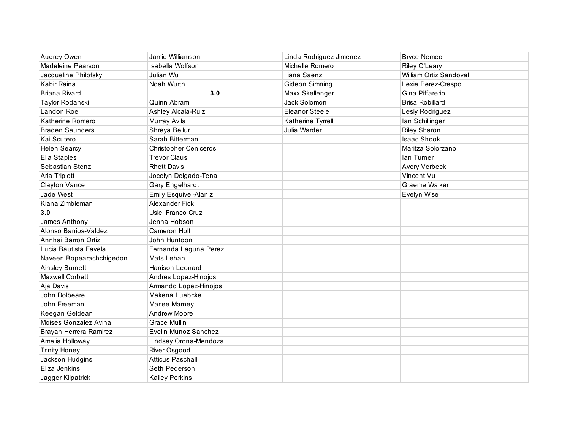| Audrey Owen              | Jamie Williamson             | Linda Rodriguez Jimenez | <b>Bryce Nemec</b>     |
|--------------------------|------------------------------|-------------------------|------------------------|
| Madeleine Pearson        | Isabella Wolfson             | Michelle Romero         | Riley O'Leary          |
| Jacqueline Philofsky     | Julian Wu                    | Iliana Saenz            | William Ortiz Sandoval |
| Kabir Raina              | Noah Wurth                   | Gideon Simning          | Lexie Perez-Crespo     |
| Briana Rivard            | 3.0                          | Maxx Skellenger         | Gina Piffarerio        |
| Taylor Rodanski          | Quinn Abram                  | Jack Solomon            | <b>Brisa Robillard</b> |
| Landon Roe               | Ashley Alcala-Ruiz           | <b>Eleanor Steele</b>   | Lesly Rodriguez        |
| Katherine Romero         | Murray Avila                 | Katherine Tyrrell       | lan Schillinger        |
| <b>Braden Saunders</b>   | Shreya Bellur                | Julia Warder            | <b>Riley Sharon</b>    |
| Kai Scutero              | Sarah Bitterman              |                         | <b>Isaac Shook</b>     |
| <b>Helen Searcy</b>      | <b>Christopher Ceniceros</b> |                         | Maritza Solorzano      |
| Ella Staples             | <b>Trevor Claus</b>          |                         | lan Turner             |
| Sebastian Stenz          | <b>Rhett Davis</b>           |                         | Avery Verbeck          |
| Aria Triplett            | Jocelyn Delgado-Tena         |                         | Vincent Vu             |
| <b>Clayton Vance</b>     | Gary Engelhardt              |                         | Graeme Walker          |
| Jade West                | <b>Emily Esquivel-Alaniz</b> |                         | Evelyn Wise            |
| Kiana Zimbleman          | Alexander Fick               |                         |                        |
| 3.0                      | Usiel Franco Cruz            |                         |                        |
| James Anthony            | Jenna Hobson                 |                         |                        |
| Alonso Barrios-Valdez    | Cameron Holt                 |                         |                        |
| Annhai Barron Ortiz      | John Huntoon                 |                         |                        |
| Lucia Bautista Favela    | Fernanda Laguna Perez        |                         |                        |
| Naveen Bopearachchigedon | Mats Lehan                   |                         |                        |
| Ainsley Burnett          | Harrison Leonard             |                         |                        |
| <b>Maxwell Corbett</b>   | Andres Lopez-Hinojos         |                         |                        |
| Aja Davis                | Armando Lopez-Hinojos        |                         |                        |
| John Dolbeare            | Makena Luebcke               |                         |                        |
| John Freeman             | Marlee Marney                |                         |                        |
| Keegan Geldean           | <b>Andrew Moore</b>          |                         |                        |
| Moises Gonzalez Avina    | Grace Mullin                 |                         |                        |
| Brayan Herrera Ramirez   | Evelin Munoz Sanchez         |                         |                        |
| Amelia Holloway          | Lindsey Orona-Mendoza        |                         |                        |
| <b>Trinity Honey</b>     | River Osgood                 |                         |                        |
| Jackson Hudgins          | <b>Atticus Paschall</b>      |                         |                        |
| Eliza Jenkins            | Seth Pederson                |                         |                        |
| Jagger Kilpatrick        | <b>Kailey Perkins</b>        |                         |                        |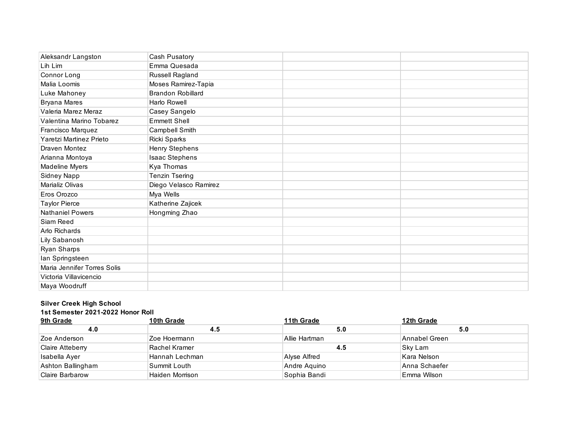| Aleksandr Langston          | Cash Pusatory            |  |
|-----------------------------|--------------------------|--|
| Lih Lim                     | Emma Quesada             |  |
| Connor Long                 | Russell Ragland          |  |
| Malia Loomis                | Moses Ramirez-Tapia      |  |
| Luke Mahoney                | <b>Brandon Robillard</b> |  |
| <b>Bryana Mares</b>         | Harlo Rowell             |  |
| Valeria Marez Meraz         | Casey Sangelo            |  |
| Valentina Marino Tobarez    | <b>Emmett Shell</b>      |  |
| Francisco Marquez           | Campbell Smith           |  |
| Yaretzi Martinez Prieto     | Ricki Sparks             |  |
| Draven Montez               | Henry Stephens           |  |
| Arianna Montoya             | <b>Isaac Stephens</b>    |  |
| Madeline Myers              | Kya Thomas               |  |
| Sidney Napp                 | <b>Tenzin Tsering</b>    |  |
| Marializ Olivas             | Diego Velasco Ramirez    |  |
| Eros Orozco                 | Mya Wells                |  |
| <b>Taylor Pierce</b>        | Katherine Zajicek        |  |
| <b>Nathaniel Powers</b>     | Hongming Zhao            |  |
| Siam Reed                   |                          |  |
| Arlo Richards               |                          |  |
| Lily Sabanosh               |                          |  |
| Ryan Sharps                 |                          |  |
| lan Springsteen             |                          |  |
| Maria Jennifer Torres Solis |                          |  |
| Victoria Villavicencio      |                          |  |
| Maya Woodruff               |                          |  |

#### **Silver Creek High School**

| 9th Grade               | 10th Grade      | 11th Grade    | 12th Grade    |
|-------------------------|-----------------|---------------|---------------|
| 4.0                     | 4.5             | 5.0           | 5.0           |
| Zoe Anderson            | ∣Zoe Hoermann   | Allie Hartman | Annabel Green |
| <b>Claire Atteberry</b> | Rachel Kramer   | 4.5           | Sky Lam       |
| Isabella Ayer           | Hannah Lechman  | Alyse Alfred  | Kara Nelson   |
| Ashton Ballingham       | Summit Louth    | Andre Aquino  | Anna Schaefer |
| Claire Barbarow         | Haiden Morrison | Sophia Bandi  | Emma Wilson   |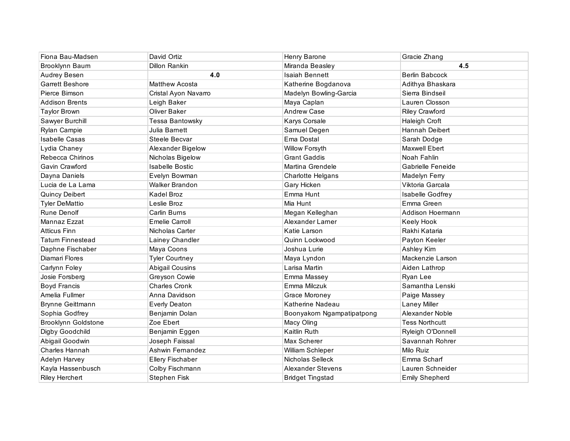| Fiona Bau-Madsen           | David Ortiz             | Henry Barone               | Gracie Zhang          |
|----------------------------|-------------------------|----------------------------|-----------------------|
| Brooklynn Baum             | Dillon Rankin           | Miranda Beasley            | 4.5                   |
| Audrey Besen               | 4.0                     | <b>Isaiah Bennett</b>      | <b>Berlin Babcock</b> |
| <b>Garrett Beshore</b>     | <b>Matthew Acosta</b>   | Katherine Bogdanova        | Adithya Bhaskara      |
| Pierce Bimson              | Cristal Ayon Navarro    | Madelyn Bowling-Garcia     | Sierra Bindseil       |
| <b>Addison Brents</b>      | Leigh Baker             | Maya Caplan                | Lauren Closson        |
| <b>Taylor Brown</b>        | Oliver Baker            | Andrew Case                | <b>Riley Crawford</b> |
| Sawyer Burchill            | Tessa Bantowsky         | Karys Corsale              | Haleigh Croft         |
| Rylan Campie               | Julia Barnett           | Samuel Degen               | <b>Hannah Deibert</b> |
| <b>Isabelle Casas</b>      | Steele Becvar           | Ema Dostal                 | Sarah Dodge           |
| Lydia Chaney               | Alexander Bigelow       | Willow Forsyth             | Maxwell Ebert         |
| Rebecca Chirinos           | Nicholas Bigelow        | <b>Grant Gaddis</b>        | Noah Fahlin           |
| Gavin Crawford             | <b>Isabelle Bostic</b>  | Martina Grendele           | Gabrielle Feneide     |
| Dayna Daniels              | Evelyn Bowman           | Charlotte Helgans          | Madelyn Ferry         |
| Lucia de La Lama           | Walker Brandon          | Gary Hicken                | Viktoria Garcala      |
| <b>Quincy Deibert</b>      | Kadel Broz              | Emma Hunt                  | Isabelle Godfrey      |
| <b>Tyler DeMattio</b>      | Leslie Broz             | Mia Hunt                   | Emma Green            |
| Rune Denolf                | Carlin Burns            | Megan Kelleghan            | Addison Hoermann      |
| Mannaz Ezzat               | Emelie Carroll          | Alexander Larner           | Keely Hook            |
| <b>Atticus Finn</b>        | Nicholas Carter         | Katie Larson               | Rakhi Kataria         |
| <b>Tatum Finnestead</b>    | Lainey Chandler         | Quinn Lockwood             | Payton Keeler         |
| Daphne Fischaber           | Maya Coons              | Joshua Lurie               | Ashley Kim            |
| Diamari Flores             | <b>Tyler Courtney</b>   | Maya Lyndon                | Mackenzie Larson      |
| Carlynn Foley              | <b>Abigail Cousins</b>  | Larisa Martin              | Aiden Lathrop         |
| Josie Forsberg             | Greyson Cowie           | Emma Massey                | Ryan Lee              |
| <b>Boyd Francis</b>        | Charles Cronk           | Emma Milczuk               | Samantha Lenski       |
| Amelia Fullmer             | Anna Davidson           | Grace Moroney              | Paige Massey          |
| Brynne Geittmann           | <b>Everly Deaton</b>    | Katherine Nadeau           | <b>Laney Miller</b>   |
| Sophia Godfrey             | Benjamin Dolan          | Boonyakorn Ngampatipatpong | Alexander Noble       |
| <b>Brooklynn Goldstone</b> | Zoe Ebert               | Macy Oling                 | <b>Tess Northcutt</b> |
| Digby Goodchild            | Benjamin Eggen          | Kaitlin Ruth               | Ryleigh O'Donnell     |
| Abigail Goodwin            | Joseph Faissal          | Max Scherer                | Savannah Rohrer       |
| Charles Hannah             | Ashwin Fernandez        | William Schleper           | Milo Ruiz             |
| Adelyn Harvey              | <b>Ellery Fischaber</b> | Nicholas Selleck           | Emma Scharf           |
| Kayla Hassenbusch          | Colby Fischmann         | <b>Alexander Stevens</b>   | Lauren Schneider      |
| <b>Riley Herchert</b>      | <b>Stephen Fisk</b>     | <b>Bridget Tingstad</b>    | <b>Emily Shepherd</b> |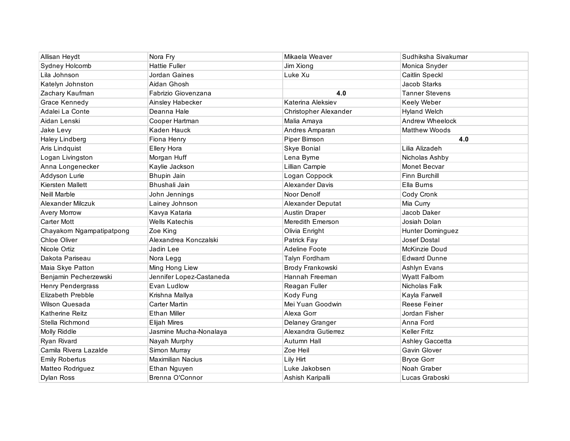| Allisan Heydt             | Nora Fry                 | Mikaela Weaver         | Sudhiksha Sivakumar   |
|---------------------------|--------------------------|------------------------|-----------------------|
| Sydney Holcomb            | <b>Hattie Fuller</b>     | Jim Xiong              | Monica Snyder         |
| Lila Johnson              | Jordan Gaines            | Luke Xu                | Caitlin Speckl        |
| Katelyn Johnston          | Aidan Ghosh              |                        | Jacob Starks          |
| Zachary Kaufman           | Fabrizio Giovenzana      | 4.0                    | <b>Tanner Stevens</b> |
| Grace Kennedy             | Ainsley Habecker         | Katerina Aleksiev      | Keely Weber           |
| Adalei La Conte           | Deanna Hale              | Christopher Alexander  | <b>Hyland Welch</b>   |
| Aidan Lenski              | Cooper Hartman           | Malia Amaya            | Andrew Wheelock       |
| Jake Levy                 | Kaden Hauck              | Andres Amparan         | <b>Matthew Woods</b>  |
| <b>Haley Lindberg</b>     | Fiona Henry              | Piper Bimson           | 4.0                   |
| Aris Lindquist            | Ellery Hora              | Skye Bonial            | Lilia Alizadeh        |
| Logan Livingston          | Morgan Huff              | Lena Byrne             | Nicholas Ashby        |
| Anna Longenecker          | Kaylie Jackson           | Lillian Campie         | Monet Becvar          |
| Addyson Lurie             | Bhupin Jain              | Logan Coppock          | Finn Burchill         |
| Kiersten Mallett          | Bhushali Jain            | <b>Alexander Davis</b> | Ella Burns            |
| Neill Marble              | John Jennings            | Noor Denolf            | Cody Cronk            |
| Alexander Milczuk         | Lainey Johnson           | Alexander Deputat      | Mia Curry             |
| <b>Avery Morrow</b>       | Kavya Kataria            | Austin Draper          | Jacob Daker           |
| <b>Carter Mott</b>        | Wells Katechis           | Meredith Emerson       | Josiah Dolan          |
| Chayakorn Ngampatipatpong | Zoe King                 | Olivia Enright         | Hunter Dominguez      |
| Chloe Oliver              | Alexandrea Konczalski    | Patrick Fay            | Josef Dostal          |
| Nicole Ortiz              | Jadin Lee                | Adeline Foote          | McKinzie Doud         |
| Dakota Pariseau           | Nora Legg                | Talyn Fordham          | <b>Edward Dunne</b>   |
| Maia Skye Patton          | Ming Hong Liew           | Brody Frankowski       | Ashlyn Evans          |
| Benjamin Pecherzewski     | Jennifer Lopez-Castaneda | Hannah Freeman         | Wyatt Falborn         |
| <b>Henry Pendergrass</b>  | Evan Ludlow              | Reagan Fuller          | Nicholas Falk         |
| <b>Elizabeth Prebble</b>  | Krishna Mallya           | Kody Fung              | Kayla Farwell         |
| Wilson Quesada            | <b>Carter Martin</b>     | Mei Yuan Goodwin       | Reese Feiner          |
| Katherine Reitz           | <b>Ethan Miller</b>      | Alexa Gorr             | Jordan Fisher         |
| Stella Richmond           | Elijah Mires             | Delaney Granger        | Anna Ford             |
| Molly Riddle              | Jasmine Mucha-Nonalaya   | Alexandra Gutierrez    | <b>Keller Fritz</b>   |
| Ryan Rivard               | Nayah Murphy             | Autumn Hall            | Ashley Gaccetta       |
| Camila Rivera Lazalde     | Simon Murray             | Zoe Heil               | Gavin Glover          |
| <b>Emily Robertus</b>     | Maximilian Nacius        | Lily Hirt              | <b>Bryce Gorr</b>     |
| Matteo Rodriguez          | Ethan Nguyen             | Luke Jakobsen          | Noah Graber           |
| Dylan Ross                | Brenna O'Connor          | Ashish Karipalli       | Lucas Graboski        |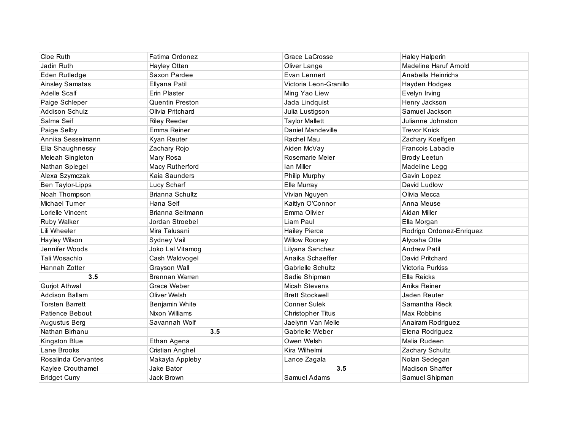| Cloe Ruth              | Fatima Ordonez      | Grace LaCrosse           | Haley Halperin           |
|------------------------|---------------------|--------------------------|--------------------------|
| Jadin Ruth             | Hayley Otten        | Oliver Lange             | Madeline Haruf Arnold    |
| Eden Rutledge          | Saxon Pardee        | Evan Lennert             | Anabella Heinrichs       |
| <b>Ainsley Samatas</b> | Ellyana Patil       | Victoria Leon-Granillo   | Hayden Hodges            |
| Adelle Scalf           | Erin Plaster        | Ming Yao Liew            | Evelyn Irving            |
| Paige Schleper         | Quentin Preston     | Jada Lindquist           | Henry Jackson            |
| Addison Schulz         | Olivia Pritchard    | Julia Lustigson          | Samuel Jackson           |
| Salma Seif             | <b>Riley Reeder</b> | <b>Taylor Mallett</b>    | Julianne Johnston        |
| Paige Selby            | Emma Reiner         | Daniel Mandeville        | <b>Trevor Knick</b>      |
| Annika Sesselmann      | Kyan Reuter         | Rachel Mau               | Zachary Koelfgen         |
| Elia Shaughnessy       | Zachary Rojo        | Aiden McVay              | Francois Labadie         |
| Meleah Singleton       | Mary Rosa           | Rosemarie Meier          | <b>Brody Leetun</b>      |
| Nathan Spiegel         | Macy Rutherford     | Ian Miller               | Madeline Legg            |
| Alexa Szymczak         | Kaia Saunders       | Philip Murphy            | Gavin Lopez              |
| Ben Taylor-Lipps       | Lucy Scharf         | Elle Murray              | David Ludlow             |
| Noah Thompson          | Brianna Schultz     | Vivian Nguyen            | Olivia Mecca             |
| Michael Turner         | Hana Seif           | Kaitlyn O'Connor         | Anna Meuse               |
| Lorielle Vincent       | Brianna Seltmann    | Emma Olivier             | Aidan Miller             |
| Ruby Walker            | Jordan Stroebel     | Liam Paul                | Ella Morgan              |
| Lili Wheeler           | Mira Talusani       | <b>Hailey Pierce</b>     | Rodrigo Ordonez-Enriquez |
| Hayley Wilson          | Sydney Vail         | <b>Willow Rooney</b>     | Alyosha Otte             |
| Jennifer Woods         | Joko Lal Vitamog    | Lilyana Sanchez          | <b>Andrew Patil</b>      |
| Tali Wosachlo          | Cash Waldvogel      | Anaika Schaeffer         | David Pritchard          |
| Hannah Zotter          | Grayson Wall        | Gabrielle Schultz        | Victoria Purkiss         |
| 3.5                    | Brennan Warren      | Sadie Shipman            | Ella Reicks              |
| <b>Gurjot Athwal</b>   | Grace Weber         | Micah Stevens            | Anika Reiner             |
| Addison Ballam         | Oliver Welsh        | <b>Brett Stockwell</b>   | Jaden Reuter             |
| <b>Torsten Barrett</b> | Benjamin White      | <b>Conner Sulek</b>      | Samantha Rieck           |
| <b>Patience Bebout</b> | Nixon Williams      | <b>Christopher Titus</b> | Max Robbins              |
| Augustus Berg          | Savannah Wolf       | Jaelynn Van Melle        | Anairam Rodriguez        |
| Nathan Birhanu         | 3.5                 | Gabrielle Weber          | Elena Rodriguez          |
| Kingston Blue          | Ethan Agena         | Owen Welsh               | Malia Rudeen             |
| Lane Brooks            | Cristian Anghel     | Kira Wilhelmi            | Zachary Schultz          |
| Rosalinda Cervantes    | Makayla Appleby     | Lance Zagala             | Nolan Sedegan            |
| Kaylee Crouthamel      | Jake Bator          | 3.5                      | Madison Shaffer          |
| <b>Bridget Curry</b>   | <b>Jack Brown</b>   | Samuel Adams             | Samuel Shipman           |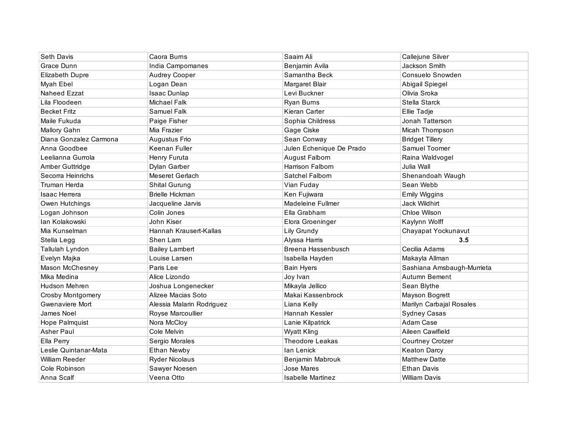| Seth Davis               | Caora Burns               | Saaim Ali                | Callejune Silver           |
|--------------------------|---------------------------|--------------------------|----------------------------|
| Grace Dunn               | India Campomanes          | Benjamin Avila           | Jackson Smith              |
| <b>Elizabeth Dupre</b>   | Audrey Cooper             | Samantha Beck            | Consuelo Snowden           |
| Myah Ebel                | Logan Dean                | Margaret Blair           | Abigail Spiegel            |
| <b>Naheed Ezzat</b>      | <b>Isaac Dunlap</b>       | Levi Buckner             | Olivia Sroka               |
| Lila Floodeen            | Michael Falk              | Ryan Burns               | Stella Starck              |
| <b>Becket Fritz</b>      | Samuel Falk               | Kieran Carter            | Ellie Tadje                |
| Maile Fukuda             | Paige Fisher              | Sophia Childress         | Jonah Tatterson            |
| Mallory Gahn             | Mia Frazier               | Gage Ciske               | Micah Thompson             |
| Diana Gonzalez Carmona   | Augustus Frio             | Sean Conway              | <b>Bridget Tillery</b>     |
| Anna Goodbee             | Keenan Fuller             | Julen Echenique De Prado | Samuel Toomer              |
| Leelianna Gurrola        | Henry Furuta              | August Falborn           | Raina Waldvogel            |
| Amber Guttridge          | Dylan Garber              | Harrison Falborn         | Julia Wall                 |
| Secorra Heinrichs        | Meseret Gerlach           | Satchel Falborn          | Shenandoah Waugh           |
| Truman Herda             | Shital Gurung             | Vian Fuday               | Sean Webb                  |
| Isaac Herrera            | <b>Brielle Hickman</b>    | Ken Fujiwara             | Emily Wiggins              |
| Owen Hutchings           | Jacqueline Jarvis         | Madeleine Fullmer        | Jack Wildhirt              |
| Logan Johnson            | Colin Jones               | Ella Grabham             | Chloe Wilson               |
| lan Kolakowski           | John Kiser                | Elora Groeninger         | Kaylynn Wolff              |
| Mia Kunselman            | Hannah Krausert-Kallas    | Lily Grundy              | Chayapat Yockunavut        |
| Stella Legg              | Shen Lam                  | Alyssa Harris            | 3.5                        |
| Tallulah Lyndon          | <b>Bailey Lambert</b>     | Breena Hassenbusch       | Cecilia Adams              |
| Evelyn Majka             | Louise Larsen             | Isabella Hayden          | Makayla Allman             |
| Mason McChesney          | Paris Lee                 | <b>Bain Hyers</b>        | Sashiana Amsbaugh-Murrieta |
| Mika Medina              | Alice Lizondo             | Joy Ivan                 | Autumn Bement              |
| Hudson Mehren            | Joshua Longenecker        | Mikayla Jellico          | Sean Blythe                |
| <b>Crosby Montgomery</b> | Alizee Macias Soto        | Makai Kassenbrock        | Mayson Bogrett             |
| Gwenaviere Mort          | Alessia Malarin Rodriguez | Liana Kelly              | Marilyn Carbajal Rosales   |
| James Noel               | Royse Marcoullier         | Hannah Kessler           | <b>Sydney Casas</b>        |
| Hope Palmquist           | Nora McCloy               | Lanie Kilpatrick         | Adam Case                  |
| Asher Paul               | Cole Melvin               | <b>Wyatt Kling</b>       | Aileen Cawlfield           |
| Ella Perry               | Sergio Morales            | <b>Theodore Leakas</b>   | <b>Courtney Crotzer</b>    |
| Leslie Quintanar-Mata    | Ethan Newby               | lan Lenick               | <b>Keaton Darcy</b>        |
| William Reeder           | <b>Ryder Nicolaus</b>     | Benjamin Mabrouk         | <b>Matthew Datte</b>       |
| Cole Robinson            | Sawyer Noesen             | Jose Mares               | <b>Ethan Davis</b>         |
| Anna Scalf               | Veena Otto                | Isabelle Martinez        | William Davis              |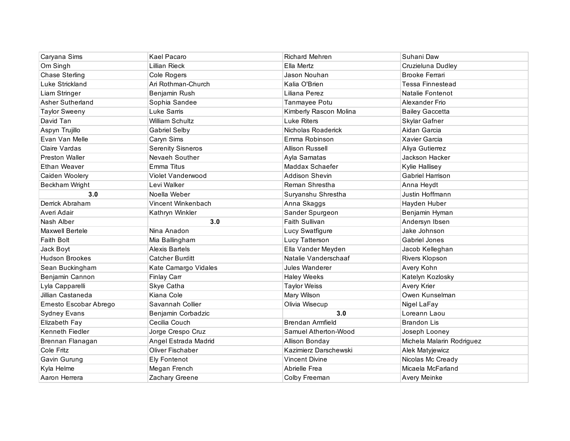| Caryana Sims           | Kael Pacaro              | <b>Richard Mehren</b>   | Suhani Daw                |
|------------------------|--------------------------|-------------------------|---------------------------|
| Om Singh               | Lillian Rieck            | Ella Mertz              | Cruzieluna Dudley         |
| <b>Chase Sterling</b>  | Cole Rogers              | Jason Nouhan            | <b>Brooke Ferrari</b>     |
| Luke Strickland        | Ari Rothman-Church       | Kalia O'Brien           | <b>Tessa Finnestead</b>   |
| Liam Stringer          | Benjamin Rush            | Liliana Perez           | Natalie Fontenot          |
| Asher Sutherland       | Sophia Sandee            | Tanmayee Potu           | Alexander Frio            |
| <b>Taylor Sweeny</b>   | Luke Sarris              | Kimberly Rascon Molina  | <b>Bailey Gaccetta</b>    |
| David Tan              | William Schultz          | <b>Luke Riters</b>      | Skylar Gafner             |
| Aspyn Trujillo         | Gabriel Selby            | Nicholas Roaderick      | Aidan Garcia              |
| Evan Van Melle         | Caryn Sims               | Emma Robinson           | Xavier Garcia             |
| Claire Vardas          | <b>Serenity Sisneros</b> | Allison Russell         | Aliya Gutierrez           |
| <b>Preston Waller</b>  | Nevaeh Souther           | Ayla Samatas            | Jackson Hacker            |
| <b>Ethan Weaver</b>    | Emma Titus               | Maddax Schaefer         | Kylie Hallisey            |
| Caiden Woolery         | Violet Vanderwood        | Addison Shevin          | Gabriel Harrison          |
| Beckham Wright         | Levi Walker              | Reman Shrestha          | Anna Heydt                |
| 3.0                    | Noella Weber             | Suryanshu Shrestha      | Justin Hoffmann           |
| Derrick Abraham        | Vincent Winkenbach       | Anna Skaggs             | Hayden Huber              |
| Averi Adair            | Kathryn Winkler          | Sander Spurgeon         | Benjamin Hyman            |
| Nash Alber             | 3.0                      | Faith Sullivan          | Andersyn Ibsen            |
| Maxwell Bertele        | Nina Anadon              | Lucy Swatfigure         | Jake Johnson              |
| <b>Faith Bolt</b>      | Mia Ballingham           | Lucy Tatterson          | Gabriel Jones             |
| Jack Boyt              | <b>Alexis Bartels</b>    | Ella Vander Meyden      | Jacob Kelleghan           |
| <b>Hudson Brookes</b>  | <b>Catcher Burditt</b>   | Natalie Vanderschaaf    | Rivers Klopson            |
| Sean Buckingham        | Kate Camargo Vidales     | Jules Wanderer          | Avery Kohn                |
| Benjamin Cannon        | Finlay Carr              |                         |                           |
| Lyla Capparelli        |                          | <b>Haley Weeks</b>      | Katelyn Kozlosky          |
|                        | Skye Catha               | <b>Taylor Weiss</b>     | Avery Krier               |
| Jillian Castaneda      | Kiana Cole               | Mary Wilson             | Owen Kunselman            |
| Ernesto Escobar Abrego | Savannah Collier         | Olivia Wisecup          | Nigel LaFay               |
| <b>Sydney Evans</b>    | Benjamin Corbadzic       | 3.0                     | Loreann Laou              |
| Elizabeth Fay          | Cecilia Couch            | <b>Brendan Armfield</b> | <b>Brandon Lis</b>        |
| Kenneth Fiedler        | Jorge Crespo Cruz        | Samuel Atherton-Wood    | Joseph Looney             |
| Brennan Flanagan       | Angel Estrada Madrid     | Allison Bonday          | Michela Malarin Rodriguez |
| <b>Cole Fritz</b>      | Oliver Fischaber         | Kazimierz Darschewski   | Alek Matyjewicz           |
| Gavin Gurung           | <b>Ely Fontenot</b>      | Vincent Divine          | Nicolas Mc Cready         |
| Kyla Helme             | Megan French             | Abrielle Frea           | Micaela McFarland         |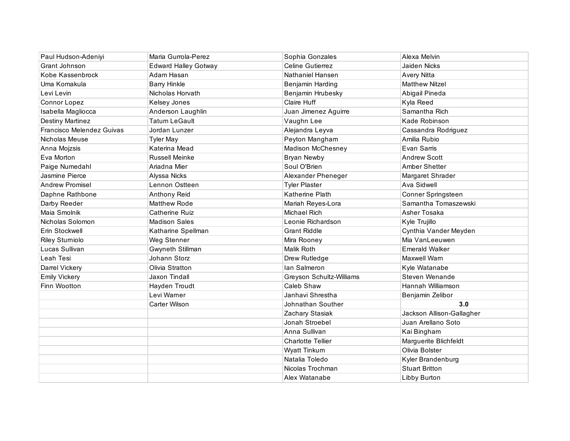| Paul Hudson-Adeniyi       | Maria Gurrola-Perez         | Sophia Gonzales          | Alexa Melvin              |
|---------------------------|-----------------------------|--------------------------|---------------------------|
| Grant Johnson             | <b>Edward Halley Gotway</b> | Celine Gutierrez         | Jaiden Nicks              |
| Kobe Kassenbrock          | Adam Hasan                  | Nathaniel Hansen         | <b>Avery Nitta</b>        |
| Uma Komakula              | <b>Barry Hinkle</b>         | Benjamin Harding         | <b>Matthew Nitzel</b>     |
| Levi Levin                | Nicholas Horvath            | Benjamin Hrubesky        | Abigail Pineda            |
| Connor Lopez              | Kelsey Jones                | Claire Huff              | Kyla Reed                 |
| Isabella Magliocca        | Anderson Laughlin           | Juan Jimenez Aguirre     | Samantha Rich             |
| <b>Destiny Martinez</b>   | <b>Tatum LeGault</b>        | Vaughn Lee               | Kade Robinson             |
| Francisco Melendez Guivas | Jordan Lunzer               | Alejandra Leyva          | Cassandra Rodriguez       |
| Nicholas Meuse            | <b>Tyler May</b>            | Peyton Mangham           | Amilia Rubio              |
| Anna Mojzsis              | Katerina Mead               | <b>Madison McChesney</b> | Evan Sarris               |
| Eva Morton                | <b>Russell Meinke</b>       | <b>Bryan Newby</b>       | <b>Andrew Scott</b>       |
| Paige Numedahl            | Ariadna Mier                | Soul O'Brien             | Amber Shetter             |
| Jasmine Pierce            | Alyssa Nicks                | Alexander Pheneger       | Margaret Shrader          |
| Andrew Promisel           | Lennon Ostteen              | <b>Tyler Plaster</b>     | Ava Sidwell               |
| Daphne Rathbone           | Anthony Reid                | Katherine Plath          | Conner Springsteen        |
| Darby Reeder              | <b>Matthew Rode</b>         | Mariah Reyes-Lora        | Samantha Tomaszewski      |
| Maia Smolnik              | Catherine Ruiz              | Michael Rich             | Asher Tosaka              |
| Nicholas Solomon          | <b>Madison Sales</b>        | Leonie Richardson        | Kyle Trujillo             |
| Erin Stockwell            | Katharine Spellman          | <b>Grant Riddle</b>      | Cynthia Vander Meyden     |
| <b>Riley Sturniolo</b>    | Weg Stenner                 | Mira Rooney              | Mia VanLeeuwen            |
| Lucas Sullivan            | Gwyneth Stillman            | Malik Roth               | <b>Emerald Walker</b>     |
| Leah Tesi                 | Johann Storz                | Drew Rutledge            | Maxwell Warn              |
| Darrel Vickery            | Olivia Stratton             | lan Salmeron             | Kyle Watanabe             |
| <b>Emily Vickery</b>      | Jaxon Tindall               | Greyson Schultz-Williams | Steven Wenande            |
| Finn Wootton              | Hayden Troudt               | Caleb Shaw               | Hannah Williamson         |
|                           | Levi Warner                 | Janhavi Shrestha         | Benjamin Zelibor          |
|                           | Carter Wilson               | Johnathan Souther        | 3.0                       |
|                           |                             | Zachary Stasiak          | Jackson Allison-Gallagher |
|                           |                             | Jonah Stroebel           | Juan Arellano Soto        |
|                           |                             | Anna Sullivan            | Kai Bingham               |
|                           |                             | <b>Charlotte Tellier</b> | Marguerite Blichfeldt     |
|                           |                             | Wyatt Tinkum             | Olivia Bolster            |
|                           |                             | Natalia Toledo           | Kyler Brandenburg         |
|                           |                             | Nicolas Trochman         | <b>Stuart Britton</b>     |
|                           |                             | Alex Watanabe            | Libby Burton              |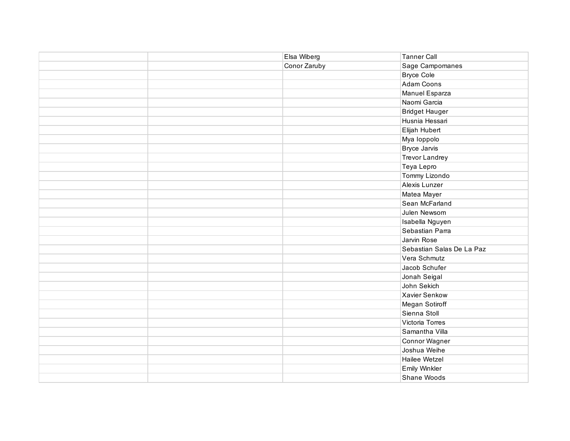|  | Elsa Wiberg  | <b>Tanner Call</b>        |
|--|--------------|---------------------------|
|  | Conor Zaruby | Sage Campomanes           |
|  |              | <b>Bryce Cole</b>         |
|  |              | Adam Coons                |
|  |              | Manuel Esparza            |
|  |              | Naomi Garcia              |
|  |              | <b>Bridget Hauger</b>     |
|  |              | Husnia Hessari            |
|  |              | Elijah Hubert             |
|  |              | Mya loppolo               |
|  |              | Bryce Jarvis              |
|  |              | <b>Trevor Landrey</b>     |
|  |              | Teya Lepro                |
|  |              | Tommy Lizondo             |
|  |              | Alexis Lunzer             |
|  |              | Matea Mayer               |
|  |              | Sean McFarland            |
|  |              | Julen Newsom              |
|  |              | Isabella Nguyen           |
|  |              | Sebastian Parra           |
|  |              | Jarvin Rose               |
|  |              | Sebastian Salas De La Paz |
|  |              | Vera Schmutz              |
|  |              | Jacob Schufer             |
|  |              | Jonah Seigal              |
|  |              | John Sekich               |
|  |              | <b>Xavier Senkow</b>      |
|  |              | Megan Sotiroff            |
|  |              | Sienna Stoll              |
|  |              | Victoria Torres           |
|  |              | Samantha Villa            |
|  |              | Connor Wagner             |
|  |              | Joshua Weihe              |
|  |              | Hailee Wetzel             |
|  |              | <b>Emily Winkler</b>      |
|  |              | Shane Woods               |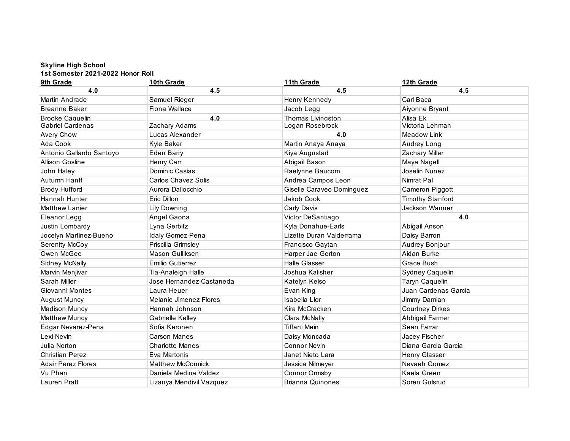# **Skyline High School**

| 9th Grade                 | 10th Grade               | 11th Grade                | 12th Grade              |
|---------------------------|--------------------------|---------------------------|-------------------------|
| 4.0                       | 4.5                      | 4.5                       | 4.5                     |
| Martin Andrade            | Samuel Rieger            | Henry Kennedy             | Carl Baca               |
| <b>Breanne Baker</b>      | Fiona Wallace            | Jacob Legg                | Aiyonne Bryant          |
| <b>Brooke Caguelin</b>    | 4.0                      | Thomas Livingston         | Alisa Ek                |
| <b>Gabriel Cardenas</b>   | Zachary Adams            | Logan Rosebrock           | Victoria Lehman         |
| Avery Chow                | Lucas Alexander          | 4.0                       | Meadow Link             |
| Ada Cook                  | Kyle Baker               | Martin Anaya Anaya        | Audrey Long             |
| Antonio Gallardo Santoyo  | Eden Barry               | Kiya Augustad             | Zachary Miller          |
| Allison Gosline           | Henry Carr               | Abigail Bason             | Maya Nagell             |
| John Haley                | Dominic Casias           | Raelynne Baucom           | Joselin Nunez           |
| Autumn Hanff              | Carlos Chavez Solis      | Andrea Campos Leon        | Nimrat Pal              |
| <b>Brody Hufford</b>      | Aurora Dallocchio        | Giselle Caraveo Dominguez | Cameron Piggott         |
| Hannah Hunter             | Eric Dillon              | Jakob Cook                | <b>Timothy Stanford</b> |
| <b>Matthew Lanier</b>     | Lily Downing             | Carly Davis               | Jackson Wanner          |
| Eleanor Legg              | Angel Gaona              | Victor DeSantiago         | 4.0                     |
| Justin Lombardy           | Lyna Gerbitz             | Kyla Donahue-Earls        | Abigail Anson           |
| Jocelyn Martinez-Bueno    | Idaly Gomez-Pena         | Lizette Duran Valderrama  | Daisy Barron            |
| Serenity McCoy            | Priscilla Grimsley       | Francisco Gaytan          | Audrey Bonjour          |
| Owen McGee                | Mason Gulliksen          | Harper Jae Gerton         | Aidan Burke             |
| <b>Sidney McNally</b>     | Emilio Gutierrez         | <b>Halle Glasser</b>      | Grace Bush              |
| Marvin Menjivar           | Tia-Analeigh Halle       | Joshua Kalisher           | Sydney Caquelin         |
| Sarah Miller              | Jose Hernandez-Castaneda | Katelyn Kelso             | Taryn Caquelin          |
| Giovanni Montes           | Laura Heuer              | Evan King                 | Juan Cardenas Garcia    |
| <b>August Muncy</b>       | Melanie Jimenez Flores   | Isabella Llor             | Jimmy Damian            |
| <b>Madison Muncy</b>      | Hannah Johnson           | Kira McCracken            | <b>Courtney Dirkes</b>  |
| <b>Matthew Muncy</b>      | Gabrielle Kelley         | Clara McNally             | Abbigail Farmer         |
| Edgar Nevarez-Pena        | Sofia Keronen            | <b>Tiffani Mein</b>       | Sean Farrar             |
| Lexi Nevin                | <b>Carson Manes</b>      | Daisy Moncada             | Jacey Fischer           |
| Julia Norton              | <b>Charlotte Manes</b>   | <b>Connor Nevin</b>       | Diana Garcia Garcia     |
| <b>Christian Perez</b>    | Eva Martonis             | Janet Nieto Lara          | Henry Glasser           |
| <b>Adair Perez Flores</b> | <b>Matthew McCormick</b> | Jessica Nilmeyer          | Nevaeh Gomez            |
| Vu Phan                   | Daniela Medina Valdez    | Connor Ormsby             | Kaela Green             |
| <b>Lauren Pratt</b>       | Lizanya Mendivil Vazquez | <b>Brianna Quinones</b>   | Soren Gulsrud           |
|                           |                          |                           |                         |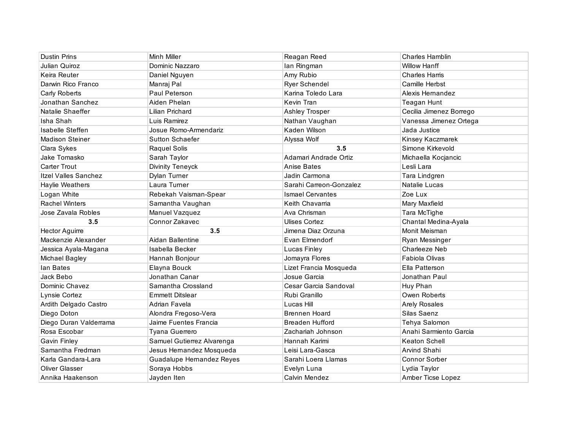| <b>Dustin Prins</b>         | <b>Minh Miller</b>         | Reagan Reed             | <b>Charles Hamblin</b>  |
|-----------------------------|----------------------------|-------------------------|-------------------------|
| Julian Quiroz               | Dominic Nazzaro            | lan Ringman             | <b>Willow Hanff</b>     |
| Keira Reuter                | Daniel Nguyen              | Amy Rubio               | <b>Charles Harris</b>   |
| Darwin Rico Franco          | Manraj Pal                 | Ryer Schendel           | Camille Herbst          |
| Carly Roberts               | Paul Peterson              | Karina Toledo Lara      | Alexis Hernandez        |
| Jonathan Sanchez            | Aiden Phelan               | Kevin Tran              | <b>Teagan Hunt</b>      |
| Natalie Shaeffer            | Lilian Prichard            | Ashley Trosper          | Cecilia Jimenez Borrego |
| Isha Shah                   | Luis Ramirez               | Nathan Vaughan          | Vanessa Jimenez Ortega  |
| Isabelle Steffen            | Josue Romo-Armendariz      | Kaden Wilson            | Jada Justice            |
| <b>Madison Steiner</b>      | <b>Sutton Schaefer</b>     | Alyssa Wolf             | Kinsey Kaczmarek        |
| Clara Sykes                 | Raquel Solis               | 3.5                     | Simone Kirkevold        |
| Jake Tomasko                | Sarah Taylor               | Adamari Andrade Ortiz   | Michaella Kocjancic     |
| <b>Carter Trout</b>         | Divinity Teneyck           | Anise Bates             | Lesli Lara              |
| <b>Itzel Valles Sanchez</b> | Dylan Turner               | Jadin Carmona           | Tara Lindgren           |
| Haylie Weathers             | Laura Turner               | Sarahi Carreon-Gonzalez | Natalie Lucas           |
| Logan White                 | Rebekah Vaisman-Spear      | <b>Ismael Cervantes</b> | Zoe Lux                 |
| <b>Rachel Winters</b>       | Samantha Vaughan           | Keith Chavarria         | Mary Maxfield           |
| Jose Zavala Robles          | Manuel Vazquez             | Ava Chrisman            | Tara McTighe            |
| 3.5                         | Connor Zakavec             | <b>Ulises Cortez</b>    | Chantal Medina-Ayala    |
| <b>Hector Aguirre</b>       | 3.5                        | Jimena Diaz Orzuna      | Monit Meisman           |
| Mackenzie Alexander         | Aidan Ballentine           | Evan Elmendorf          | Ryan Messinger          |
| Jessica Ayala-Magana        | Isabella Becker            | Lucas Finley            | Charleeze Neb           |
| Michael Bagley              | Hannah Bonjour             | Jomayra Flores          | Fabiola Olivas          |
| lan Bates                   | Elayna Bouck               | Lizet Francia Mosqueda  | Ella Patterson          |
| Jack Bebo                   | Jonathan Canar             | Josue Garcia            | Jonathan Paul           |
| Dominic Chavez              | Samantha Crossland         | Cesar Garcia Sandoval   | Huy Phan                |
| Lynsie Cortez               | <b>Emmett Ditslear</b>     | Rubi Granillo           | Owen Roberts            |
| Ardith Delgado Castro       | Adrian Favela              | Lucas Hill              | <b>Arely Rosales</b>    |
| Diego Doton                 | Alondra Fregoso-Vera       | <b>Brennen Hoard</b>    | Silas Saenz             |
| Diego Duran Valderrama      | Jaime Fuentes Francia      | <b>Breaden Hufford</b>  | Tehya Salomon           |
| Rosa Escobar                | Tyana Guerrero             | Zachariah Johnson       | Anahi Sarmiento Garcia  |
| Gavin Finley                | Samuel Gutierrez Alvarenga | Hannah Karimi           | Keaton Schell           |
| Samantha Fredman            | Jesus Hernandez Mosqueda   | Leisi Lara-Gasca        | Arvind Shahi            |
| Karla Gandara-Lara          | Guadalupe Hernandez Reyes  | Sarahi Loera Llamas     | <b>Connor Sorber</b>    |
| Oliver Glasser              | Soraya Hobbs               | Evelyn Luna             | Lydia Taylor            |
| Annika Haakenson            | Jayden Iten                | Calvin Mendez           | Amber Ticse Lopez       |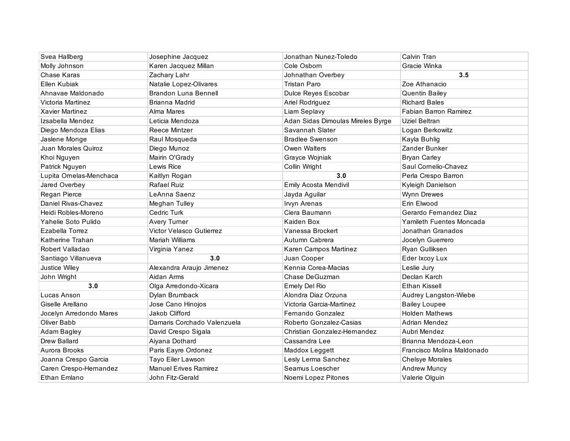| Svea Hallberg           | Josephine Jacquez            | Jonathan Nunez-Toledo             | Calvin Tran                |
|-------------------------|------------------------------|-----------------------------------|----------------------------|
| Molly Johnson           | Karen Jacquez Millan         | Cole Osborn                       | Gracie Winka               |
| Chase Karas             | Zachary Lahr                 | Johnathan Overbey                 | 3.5                        |
| Ellen Kubiak            | Natalie Lopez-Olivares       | <b>Tristan Paro</b>               | Zoe Athanacio              |
| Ahnavae Maldonado       | <b>Brandon Luna Bennell</b>  | Dulce Reyes Escobar               | Quentin Bailey             |
| Victoria Martinez       | Brianna Madrid               | Ariel Rodriguez                   | <b>Richard Bales</b>       |
| Xavier Martinez         | Alma Mares                   | Liam Seplavy                      | Fabian Barron Ramirez      |
| Izsabella Mendez        | Leticia Mendoza              | Adan Sidas Dimoulas Mireles Byrge | Uziel Beltran              |
| Diego Mendoza Elias     | Reece Mintzer                | Savannah Slater                   | Logan Berkowitz            |
| Jaslene Monge           | Raul Mosqueda                | <b>Bradlee Swenson</b>            | Kayla Buhlig               |
| Juan Morales Quiroz     | Diego Munoz                  | Owen Walters                      | Zander Bunker              |
| Khoi Nguyen             | Mairin O'Grady               | Grayce Wojniak                    | <b>Bryan Carley</b>        |
| Patrick Nguyen          | Lewis Rice                   | Collin Wright                     | Saul Cornelio-Chavez       |
| Lupita Ornelas-Menchaca | Kaitlyn Rogan                | 3.0                               | Perla Crespo Barron        |
| Jared Overbey           | Rafael Ruiz                  | Emily Acosta Mendivil             | Kyleigh Danielson          |
| Regan Pierce            | LeAnna Saenz                 | Jayda Aguilar                     | Wynn Drewes                |
| Daniel Rivas-Chavez     | Meghan Tulley                | Irvyn Arenas                      | Erin Elwood                |
| Heidi Robles-Moreno     | Cedric Turk                  | Ciera Baumann                     | Gerardo Fernandez Diaz     |
| Yahelie Soto Pulido     | Avery Turner                 | Kaiden Box                        | Yamileth Fuentes Moncada   |
| Ezabella Torrez         | Victor Velasco Gutierrez     | Vanessa Brockert                  | Jonathan Granados          |
| Katherine Trahan        | Mariah Williams              | Autumn Cabrera                    | Jocelyn Guerrero           |
| Robert Valladao         | Virginia Yanez               | Karen Campos Martinez             | Ryan Gulliksen             |
| Santiago Villanueva     | 3.0                          | Juan Cooper                       | Eder Ixcoy Lux             |
| Justice Wiley           | Alexandra Araujo Jimenez     | Kennia Corea-Macias               | Leslie Jury                |
| John Wright             | Aidan Arms                   | Chase DeGuzman                    | Declan Karch               |
| 3.0                     | Olga Arredondo-Xicara        | Emely Del Rio                     | Ethan Kissell              |
| Lucas Anson             | Dylan Brumback               | Alondra Diaz Orzuna               | Audrey Langston-Wiebe      |
| Giselle Arellano        | Jose Cano Hinojos            | Victoria Garcia-Martinez          | <b>Bailey Loupee</b>       |
| Jocelyn Arredondo Mares | Jakob Clifford               | Fernando Gonzalez                 | <b>Holden Mathews</b>      |
| Oliver Babb             | Damaris Corchado Valenzuela  | Roberto Gonzalez-Casias           | Adrian Mendez              |
| Adam Bagley             | David Crespo Sigala          | Christian Gonzalez-Hernandez      | Aubri Mendez               |
| Drew Ballard            | Aiyana Dothard               | Cassandra Lee                     | Brianna Mendoza-Leon       |
| Aurora Brooks           | Paris Eayre Ordonez          | Maddox Leggett                    | Francisco Molina Maldonado |
| Joanna Crespo Garcia    | Tayo Eiler Lawson            | Lesly Lerma Sanchez               | <b>Chelsye Morales</b>     |
| Caren Crespo-Hernandez  | <b>Manuel Erives Ramirez</b> | Seamus Loescher                   | Andrew Muncy               |
| Ethan Emlano            | John Fitz-Gerald             | Noemi Lopez Pitones               | Valerie Olguin             |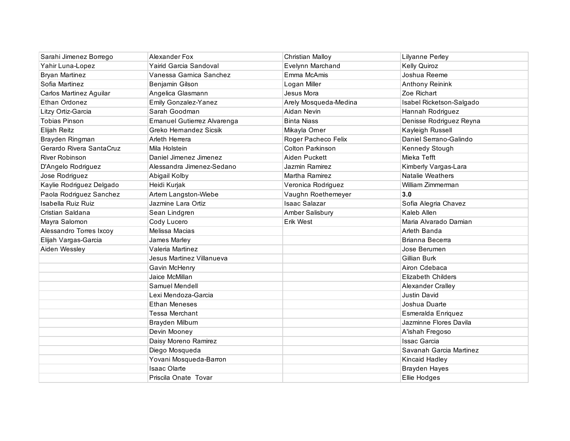| Sarahi Jimenez Borrego   | Alexander Fox               | Christian Malloy      | Lilyanne Perley           |
|--------------------------|-----------------------------|-----------------------|---------------------------|
| Yahir Luna-Lopez         | Yairid Garcia Sandoval      | Evelynn Marchand      | <b>Kelly Quiroz</b>       |
| <b>Bryan Martinez</b>    | Vanessa Garnica Sanchez     | Emma McAmis           | Joshua Reeme              |
| Sofia Martinez           | Benjamin Gilson             | Logan Miller          | Anthony Reinink           |
| Carlos Martinez Aguilar  | Angelica Glasmann           | Jesus Mora            | Zoe Richart               |
| Ethan Ordonez            | Emily Gonzalez-Yanez        | Arely Mosqueda-Medina | Isabel Ricketson-Salgado  |
| Litzy Ortiz-Garcia       | Sarah Goodman               | Aidan Nevin           | Hannah Rodriguez          |
| <b>Tobias Pinson</b>     | Emanuel Gutierrez Alvarenga | <b>Binta Niass</b>    | Denisse Rodriguez Reyna   |
| Elijah Reitz             | Greko Hernandez Sicsik      | Mikayla Orner         | Kayleigh Russell          |
| Brayden Ringman          | Arleth Herrera              | Roger Pacheco Felix   | Daniel Serrano-Galindo    |
| Gerardo Rivera SantaCruz | Mila Holstein               | Colton Parkinson      | Kennedy Stough            |
| <b>River Robinson</b>    | Daniel Jimenez Jimenez      | Aiden Puckett         | Mieka Tefft               |
| D'Angelo Rodriguez       | Alessandra Jimenez-Sedano   | Jazmin Ramirez        | Kimberly Vargas-Lara      |
| Jose Rodriguez           | Abigail Kolby               | Martha Ramirez        | <b>Natalie Weathers</b>   |
| Kaylie Rodriguez Delgado | Heidi Kurjak                | Veronica Rodriguez    | William Zimmerman         |
| Paola Rodriguez Sanchez  | Artem Langston-Wiebe        | Vaughn Roethemeyer    | 3.0                       |
| Isabella Ruiz Ruiz       | Jazmine Lara Ortiz          | <b>Isaac Salazar</b>  | Sofia Alegria Chavez      |
| Cristian Saldana         | Sean Lindgren               | Amber Salisbury       | Kaleb Allen               |
| Mayra Salomon            | Cody Lucero                 | Erik West             | Maria Alvarado Damian     |
| Alessandro Torres Ixcoy  | Melissa Macias              |                       | Arleth Banda              |
| Elijah Vargas-Garcia     | James Marley                |                       | Brianna Becerra           |
| Aiden Wessley            | Valeria Martinez            |                       | Jose Berumen              |
|                          | Jesus Martinez Villanueva   |                       | Gillian Burk              |
|                          | Gavin McHenry               |                       | Airon Cdebaca             |
|                          | Jaice McMillan              |                       | <b>Elizabeth Childers</b> |
|                          | Samuel Mendell              |                       | Alexander Cralley         |
|                          | Lexi Mendoza-Garcia         |                       | Justin David              |
|                          | Ethan Meneses               |                       | Joshua Duarte             |
|                          | <b>Tessa Merchant</b>       |                       | Esmeralda Enriquez        |
|                          | Brayden Milburn             |                       | Jazminne Flores Davila    |
|                          | Devin Mooney                |                       | A'ishah Fregoso           |
|                          | Daisy Moreno Ramirez        |                       | <b>Issac Garcia</b>       |
|                          | Diego Mosqueda              |                       | Savanah Garcia Martinez   |
|                          | Yovani Mosqueda-Barron      |                       | Kincaid Hadley            |
|                          | <b>Isaac Olarte</b>         |                       | <b>Brayden Hayes</b>      |
|                          | Priscila Onate Tovar        |                       | Ellie Hodges              |